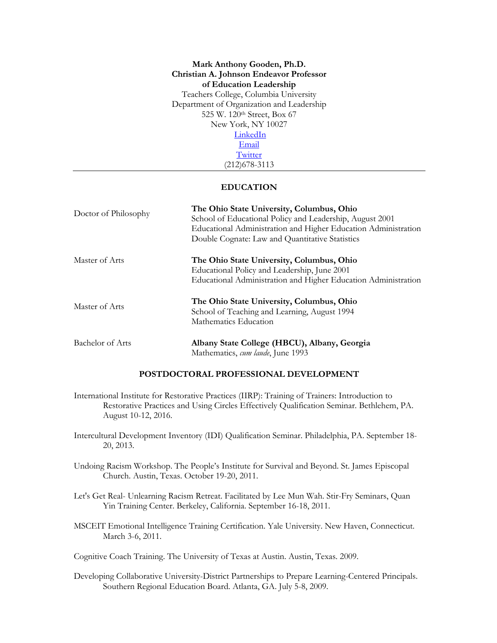# **Mark Anthony Gooden, Ph.D. Christian A. Johnson Endeavor Professor of Education Leadership** Teachers College, Columbia University Department of Organization and Leadership 525 W. 120th Street, Box 67 New York, NY 10027 **LinkedIn**

Email **Twitter** 

# (212)678-3113

# **EDUCATION**

| Doctor of Philosophy | The Ohio State University, Columbus, Ohio<br>School of Educational Policy and Leadership, August 2001<br>Educational Administration and Higher Education Administration<br>Double Cognate: Law and Quantitative Statistics |
|----------------------|----------------------------------------------------------------------------------------------------------------------------------------------------------------------------------------------------------------------------|
| Master of Arts       | The Ohio State University, Columbus, Ohio<br>Educational Policy and Leadership, June 2001<br>Educational Administration and Higher Education Administration                                                                |
| Master of Arts       | The Ohio State University, Columbus, Ohio<br>School of Teaching and Learning, August 1994<br>Mathematics Education                                                                                                         |
| Bachelor of Arts     | Albany State College (HBCU), Albany, Georgia<br>Mathematics, cum laude, June 1993                                                                                                                                          |

# **POSTDOCTORAL PROFESSIONAL DEVELOPMENT**

- International Institute for Restorative Practices (IIRP): Training of Trainers: Introduction to Restorative Practices and Using Circles Effectively Qualification Seminar. Bethlehem, PA. August 10-12, 2016.
- Intercultural Development Inventory (IDI) Qualification Seminar. Philadelphia, PA. September 18- 20, 2013.
- Undoing Racism Workshop. The People's Institute for Survival and Beyond. St. James Episcopal Church. Austin, Texas. October 19-20, 2011.
- Let's Get Real- Unlearning Racism Retreat. Facilitated by Lee Mun Wah. Stir-Fry Seminars, Quan Yin Training Center. Berkeley, California. September 16-18, 2011.
- MSCEIT Emotional Intelligence Training Certification. Yale University. New Haven, Connecticut. March 3-6, 2011.

Cognitive Coach Training. The University of Texas at Austin. Austin, Texas. 2009.

Developing Collaborative University-District Partnerships to Prepare Learning-Centered Principals. Southern Regional Education Board. Atlanta, GA. July 5-8, 2009.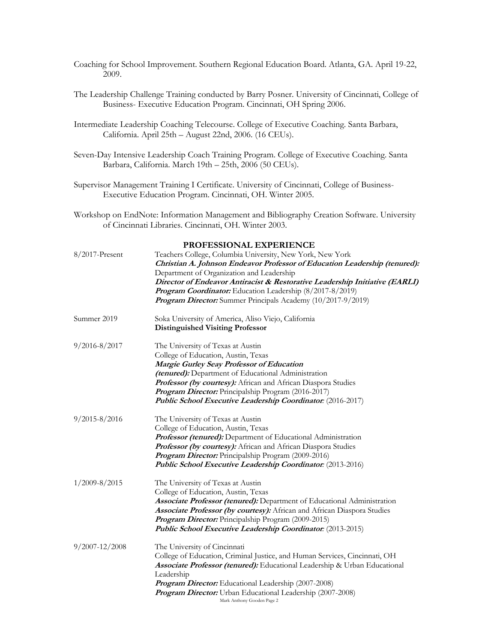- Coaching for School Improvement. Southern Regional Education Board. Atlanta, GA. April 19-22, 2009.
- The Leadership Challenge Training conducted by Barry Posner. University of Cincinnati, College of Business- Executive Education Program. Cincinnati, OH Spring 2006.
- Intermediate Leadership Coaching Telecourse. College of Executive Coaching. Santa Barbara, California. April 25th – August 22nd, 2006. (16 CEUs).
- Seven-Day Intensive Leadership Coach Training Program. College of Executive Coaching. Santa Barbara, California. March 19th – 25th, 2006 (50 CEUs).
- Supervisor Management Training I Certificate. University of Cincinnati, College of Business-Executive Education Program. Cincinnati, OH. Winter 2005.
- Workshop on EndNote: Information Management and Bibliography Creation Software. University of Cincinnati Libraries. Cincinnati, OH. Winter 2003.

#### **PROFESSIONAL EXPERIENCE**

| 8/2017-Present     | Teachers College, Columbia University, New York, New York<br>Christian A. Johnson Endeavor Professor of Education Leadership (tenured):<br>Department of Organization and Leadership<br>Director of Endeavor Antiracist & Restorative Leadership Initiative (EARLI)<br>Program Coordinator: Education Leadership (8/2017-8/2019)<br>Program Director: Summer Principals Academy (10/2017-9/2019) |
|--------------------|--------------------------------------------------------------------------------------------------------------------------------------------------------------------------------------------------------------------------------------------------------------------------------------------------------------------------------------------------------------------------------------------------|
| Summer 2019        | Soka University of America, Aliso Viejo, California<br><b>Distinguished Visiting Professor</b>                                                                                                                                                                                                                                                                                                   |
| $9/2016 - 8/2017$  | The University of Texas at Austin<br>College of Education, Austin, Texas<br>Margie Gurley Seay Professor of Education<br>(tenured): Department of Educational Administration<br>Professor (by courtesy): African and African Diaspora Studies<br>Program Director: Principalship Program (2016-2017)<br>Public School Executive Leadership Coordinator: (2016-2017)                              |
| $9/2015 - 8/2016$  | The University of Texas at Austin<br>College of Education, Austin, Texas<br>Professor (tenured): Department of Educational Administration<br>Professor (by courtesy): African and African Diaspora Studies<br>Program Director: Principalship Program (2009-2016)<br><b>Public School Executive Leadership Coordinator:</b> (2013-2016)                                                          |
| $1/2009 - 8/2015$  | The University of Texas at Austin<br>College of Education, Austin, Texas<br>Associate Professor (tenured): Department of Educational Administration<br>Associate Professor (by courtesy): African and African Diaspora Studies<br>Program Director: Principalship Program (2009-2015)<br>Public School Executive Leadership Coordinator: (2013-2015)                                             |
| $9/2007 - 12/2008$ | The University of Cincinnati<br>College of Education, Criminal Justice, and Human Services, Cincinnati, OH<br>Associate Professor (tenured): Educational Leadership & Urban Educational<br>Leadership<br>Program Director: Educational Leadership (2007-2008)<br>Program Director: Urban Educational Leadership (2007-2008)<br>Mark Anthony Gooden Page 2                                        |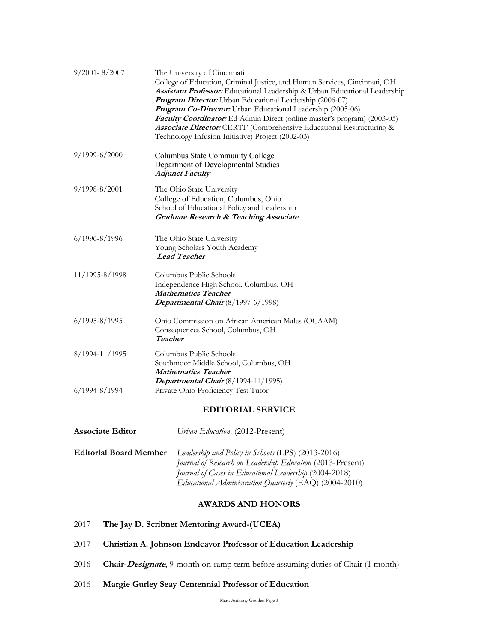| $9/2001 - 8/2007$ | The University of Cincinnati<br>College of Education, Criminal Justice, and Human Services, Cincinnati, OH<br>Assistant Professor: Educational Leadership & Urban Educational Leadership<br>Program Director: Urban Educational Leadership (2006-07)<br>Program Co-Director: Urban Educational Leadership (2005-06)<br>Faculty Coordinator: Ed Admin Direct (online master's program) (2003-05)<br>Associate Director: CERTI <sup>2</sup> (Comprehensive Educational Restructuring & |
|-------------------|--------------------------------------------------------------------------------------------------------------------------------------------------------------------------------------------------------------------------------------------------------------------------------------------------------------------------------------------------------------------------------------------------------------------------------------------------------------------------------------|
|                   | Technology Infusion Initiative) Project (2002-03)                                                                                                                                                                                                                                                                                                                                                                                                                                    |
| $9/1999 - 6/2000$ | Columbus State Community College<br>Department of Developmental Studies<br><b>Adjunct Faculty</b>                                                                                                                                                                                                                                                                                                                                                                                    |
| $9/1998 - 8/2001$ | The Ohio State University<br>College of Education, Columbus, Ohio<br>School of Educational Policy and Leadership<br><b>Graduate Research &amp; Teaching Associate</b>                                                                                                                                                                                                                                                                                                                |
| 6/1996-8/1996     | The Ohio State University<br>Young Scholars Youth Academy<br><b>Lead Teacher</b>                                                                                                                                                                                                                                                                                                                                                                                                     |
| 11/1995-8/1998    | Columbus Public Schools<br>Independence High School, Columbus, OH<br><b>Mathematics Teacher</b><br>Departmental Chair $(8/1997-6/1998)$                                                                                                                                                                                                                                                                                                                                              |
| $6/1995 - 8/1995$ | Ohio Commission on African American Males (OCAAM)<br>Consequences School, Columbus, OH<br><b>Teacher</b>                                                                                                                                                                                                                                                                                                                                                                             |
| 8/1994-11/1995    | Columbus Public Schools<br>Southmoor Middle School, Columbus, OH<br><b>Mathematics Teacher</b><br>Departmental Chair (8/1994-11/1995)                                                                                                                                                                                                                                                                                                                                                |
| $6/1994 - 8/1994$ | Private Ohio Proficiency Test Tutor                                                                                                                                                                                                                                                                                                                                                                                                                                                  |
|                   | <b>EDITORIAL SERVICE</b>                                                                                                                                                                                                                                                                                                                                                                                                                                                             |
|                   |                                                                                                                                                                                                                                                                                                                                                                                                                                                                                      |

**Associate Editor Editorial Board Member** *Urban Education,* (2012-Present) *Leadership and Policy in Schools* (LPS) (2013-2016) *Journal of Research on Leadership Education* (2013-Present) *Journal of Cases in Educational Leadership* (2004-2018) *Educational Administration Quarterly* (EAQ) (2004-2010)

# **AWARDS AND HONORS**

- 2017 **The Jay D. Scribner Mentoring Award-(UCEA)**
- 2017 **Christian A. Johnson Endeavor Professor of Education Leadership**
- 2016 **Chair-Designate**, 9-month on-ramp term before assuming duties of Chair (1 month)
- 2016 **Margie Gurley Seay Centennial Professor of Education**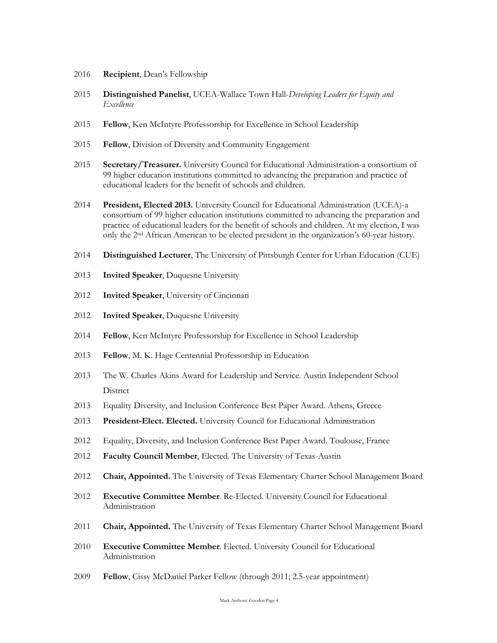- **Recipient**, Dean's Fellowship
- **Distinguished Panelist**, UCEA-Wallace Town Hall-*Developing Leaders for Equity and Excellence*
- **Fellow**, Ken McIntyre Professorship for Excellence in School Leadership
- **Fellow**, Division of Diversity and Community Engagement
- **Secretary/Treasurer.** University Council for Educational Administration-a consortium of 99 higher education institutions committed to advancing the preparation and practice of educational leaders for the benefit of schools and children.
- **President, Elected 2013.** University Council for Educational Administration (UCEA)-a consortium of 99 higher education institutions committed to advancing the preparation and practice of educational leaders for the benefit of schools and children. At my election, I was only the 2nd African American to be elected president in the organization's 60-year history.
- **Distinguished Lecturer**, The University of Pittsburgh Center for Urban Education (CUE)
- **Invited Speaker**, Duquesne University
- **Invited Speaker**, University of Cincinnati
- **Invited Speaker**, Duquesne University
- **Fellow**, Ken McIntyre Professorship for Excellence in School Leadership
- **Fellow**, M. K. Hage Centennial Professorship in Education
- The W. Charles Akins Award for Leadership and Service. Austin Independent School District
- 2013 Equality Diversity, and Inclusion Conference Best Paper Award. Athens, Greece
- **President-Elect. Elected.** University Council for Educational Administration
- 2012 Equality, Diversity, and Inclusion Conference Best Paper Award. Toulouse, France
- **Faculty Council Member**, Elected. The University of Texas-Austin
- **Chair, Appointed.** The University of Texas Elementary Charter School Management Board
- **Executive Committee Member**. Re-Elected. University Council for Educational Administration
- **Chair, Appointed.** The University of Texas Elementary Charter School Management Board
- **Executive Committee Member**. Elected. University Council for Educational Administration
- **Fellow**, Cissy McDaniel Parker Fellow (through 2011; 2.5-year appointment)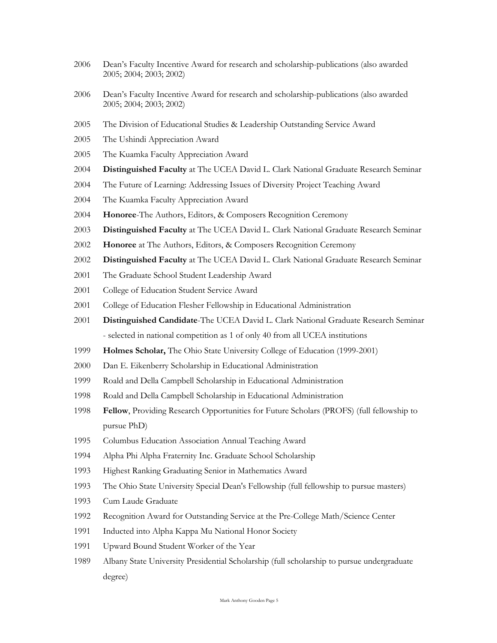- Dean's Faculty Incentive Award for research and scholarship-publications (also awarded 2005; 2004; 2003; 2002)
- Dean's Faculty Incentive Award for research and scholarship-publications (also awarded 2005; 2004; 2003; 2002)
- 2005 The Division of Educational Studies & Leadership Outstanding Service Award
- The Ushindi Appreciation Award
- The Kuamka Faculty Appreciation Award
- **Distinguished Faculty** at The UCEA David L. Clark National Graduate Research Seminar
- The Future of Learning: Addressing Issues of Diversity Project Teaching Award
- The Kuamka Faculty Appreciation Award
- **Honoree**-The Authors, Editors, & Composers Recognition Ceremony
- **Distinguished Faculty** at The UCEA David L. Clark National Graduate Research Seminar
- **Honoree** at The Authors, Editors, & Composers Recognition Ceremony
- **Distinguished Faculty** at The UCEA David L. Clark National Graduate Research Seminar
- The Graduate School Student Leadership Award
- College of Education Student Service Award
- College of Education Flesher Fellowship in Educational Administration
- **Distinguished Candidate**-The UCEA David L. Clark National Graduate Research Seminar - selected in national competition as 1 of only 40 from all UCEA institutions
- **Holmes Scholar,** The Ohio State University College of Education (1999-2001)
- Dan E. Eikenberry Scholarship in Educational Administration
- Roald and Della Campbell Scholarship in Educational Administration
- Roald and Della Campbell Scholarship in Educational Administration
- **Fellow**, Providing Research Opportunities for Future Scholars (PROFS) (full fellowship to pursue PhD)
- Columbus Education Association Annual Teaching Award
- Alpha Phi Alpha Fraternity Inc. Graduate School Scholarship
- Highest Ranking Graduating Senior in Mathematics Award
- The Ohio State University Special Dean's Fellowship (full fellowship to pursue masters)
- Cum Laude Graduate
- Recognition Award for Outstanding Service at the Pre-College Math/Science Center
- Inducted into Alpha Kappa Mu National Honor Society
- Upward Bound Student Worker of the Year
- Albany State University Presidential Scholarship (full scholarship to pursue undergraduate degree)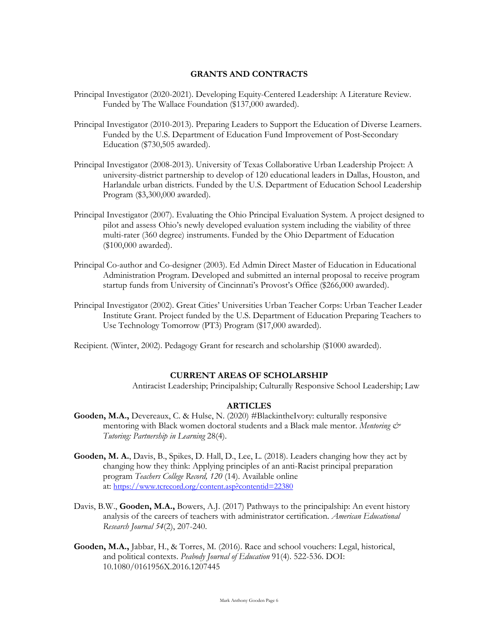# **GRANTS AND CONTRACTS**

- Principal Investigator (2020-2021). Developing Equity-Centered Leadership: A Literature Review. Funded by The Wallace Foundation (\$137,000 awarded).
- Principal Investigator (2010-2013). Preparing Leaders to Support the Education of Diverse Learners. Funded by the U.S. Department of Education Fund Improvement of Post-Secondary Education (\$730,505 awarded).
- Principal Investigator (2008-2013). University of Texas Collaborative Urban Leadership Project: A university-district partnership to develop of 120 educational leaders in Dallas, Houston, and Harlandale urban districts. Funded by the U.S. Department of Education School Leadership Program (\$3,300,000 awarded).
- Principal Investigator (2007). Evaluating the Ohio Principal Evaluation System. A project designed to pilot and assess Ohio's newly developed evaluation system including the viability of three multi-rater (360 degree) instruments. Funded by the Ohio Department of Education (\$100,000 awarded).
- Principal Co-author and Co-designer (2003). Ed Admin Direct Master of Education in Educational Administration Program. Developed and submitted an internal proposal to receive program startup funds from University of Cincinnati's Provost's Office (\$266,000 awarded).
- Principal Investigator (2002). Great Cities' Universities Urban Teacher Corps: Urban Teacher Leader Institute Grant. Project funded by the U.S. Department of Education Preparing Teachers to Use Technology Tomorrow (PT3) Program (\$17,000 awarded).

Recipient. (Winter, 2002). Pedagogy Grant for research and scholarship (\$1000 awarded).

#### **CURRENT AREAS OF SCHOLARSHIP**

Antiracist Leadership; Principalship; Culturally Responsive School Leadership; Law

# **ARTICLES**

- **Gooden, M.A.,** Devereaux, C. & Hulse, N. (2020) #BlackintheIvory: culturally responsive mentoring with Black women doctoral students and a Black male mentor. *Mentoring & Tutoring: Partnership in Learning* 28(4).
- **Gooden, M. A.**, Davis, B., Spikes, D. Hall, D., Lee, L. (2018). Leaders changing how they act by changing how they think: Applying principles of an anti-Racist principal preparation program *Teachers College Record, 120* (14). Available online at: https://www.tcrecord.org/content.asp?contentid=22380
- Davis, B.W., **Gooden, M.A.,** Bowers, A.J. (2017) Pathways to the principalship: An event history analysis of the careers of teachers with administrator certification. *American Educational Research Journal 54*(2), 207-240.
- **Gooden, M.A.,** Jabbar, H., & Torres, M. (2016). Race and school vouchers: Legal, historical, and political contexts. *Peabody Journal of Education* 91(4). 522-536. DOI: 10.1080/0161956X.2016.1207445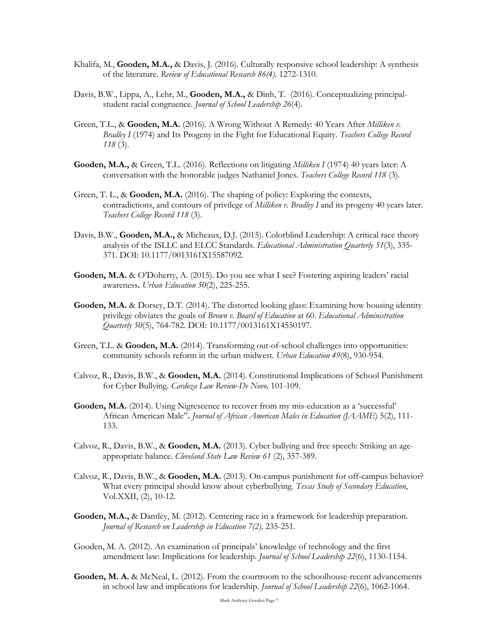- Khalifa, M., **Gooden, M.A.,** & Davis, J. (2016). Culturally responsive school leadership: A synthesis of the literature. *Review of Educational Research 86(4).* 1272-1310.
- Davis, B.W., Lippa, A., Lehr, M., **Gooden, M.A.,** & Dinh, T. (2016). Conceptualizing principalstudent racial congruence. *Journal of School Leadership 26*(4).
- Green, T.L., & **Gooden, M.A.** (2016). A Wrong Without A Remedy: 40 Years After *Milliken v. Bradley I* (1974) and Its Progeny in the Fight for Educational Equity. *Teachers College Record 118* (3).
- **Gooden, M.A.,** & Green, T.L. (2016). Reflections on litigating *Milliken I* (1974) 40 years later: A conversation with the honorable judges Nathaniel Jones. *Teachers College Record 118* (3).
- Green, T. L., & **Gooden, M.A.** (2016). The shaping of policy: Exploring the contexts, contradictions, and contours of privilege of *Milliken v. Bradley I* and its progeny 40 years later. *Teachers College Record 118* (3).
- Davis, B.W., **Gooden, M.A.,** & Micheaux, D.J. (2015). Colorblind Leadership: A critical race theory analysis of the ISLLC and ELCC Standards. *Educational Administration Quarterly 51*(3), 335- 371. DOI: 10.1177/0013161X15587092.
- **Gooden, M.A.** & O'Doherty, A. (2015). Do you see what I see? Fostering aspiring leaders' racial awareness**.** *Urban Education 50*(2), 225-255.
- Gooden, M.A. & Dorsey, D.T. (2014). The distorted looking glass: Examining how housing identity privilege obviates the goals of *Brown v. Board of Education* at 60. *Educational Administration Quarterly 50*(5), 764-782. DOI: 10.1177/0013161X14550197.
- Green, T.L. & Gooden, M.A. (2014). Transforming out-of-school challenges into opportunities: community schools reform in the urban midwest. *Urban Education 49*(8), 930-954*.*
- Calvoz, R., Davis, B.W., & **Gooden, M.A.** (2014). Constitutional Implications of School Punishment for Cyber Bullying. *Cardoza Law Review*-*De Novo,* 101-109*.*
- **Gooden, M.A.** (2014). Using Nigrescence to recover from my mis-education as a 'successful' African American Male"**.** *Journal of African American Males in Education (JAAME*) 5(2), 111- 133.
- Calvoz, R., Davis, B.W., & **Gooden, M.A.** (2013). Cyber bullying and free speech: Striking an ageappropriate balance. *Cleveland State Law Review 61* (2), 357-389.
- Calvoz, R., Davis, B.W., & **Gooden, M.A.** (2013). On-campus punishment for off-campus behavior? What every principal should know about cyberbullying. *Texas Study of Secondary Education*, Vol.XXII, (2), 10-12.
- **Gooden, M.A.,** & Dantley, M. (2012). Centering race in a framework for leadership preparation. *Journal of Research on Leadership in Education 7(2),* 235-251.
- Gooden, M. A. (2012). An examination of principals' knowledge of technology and the first amendment law: Implications for leadership. *Journal of School Leadership 22*(6), 1130-1154.
- Gooden, M. A. & McNeal, L. (2012). From the courtroom to the schoolhouse-recent advancements in school law and implications for leadership. *Journal of School Leadership 22*(6), 1062-1064.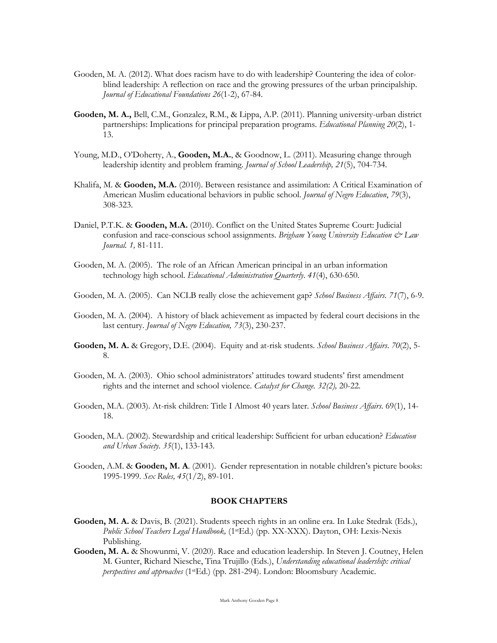- Gooden, M. A. (2012). What does racism have to do with leadership? Countering the idea of colorblind leadership: A reflection on race and the growing pressures of the urban principalship. *Journal of Educational Foundations 26*(1-2), 67-84.
- **Gooden, M. A.,** Bell, C.M., Gonzalez, R.M., & Lippa, A.P. (2011). Planning university-urban district partnerships: Implications for principal preparation programs. *Educational Planning 20*(2), 1- 13.
- Young, M.D., O'Doherty, A., **Gooden, M.A.**, & Goodnow, L. (2011). Measuring change through leadership identity and problem framing. *Journal of School Leadership, 21*(5), 704-734.
- Khalifa, M. & **Gooden, M.A.** (2010). Between resistance and assimilation: A Critical Examination of American Muslim educational behaviors in public school. *Journal of Negro Education*, *79*(3), 308-323.
- Daniel, P.T.K. & **Gooden, M.A.** (2010). Conflict on the United States Supreme Court: Judicial confusion and race-conscious school assignments. *Brigham Young University Education*  $\dot{\mathcal{O}}$  *Law Journal. 1,* 81-111.
- Gooden, M. A. (2005).The role of an African American principal in an urban information technology high school. *Educational Administration Quarterly*. *41*(4), 630-650.
- Gooden, M. A. (2005).Can NCLB really close the achievement gap? *School Business Affairs*. *71*(7), 6-9.
- Gooden, M. A. (2004).A history of black achievement as impacted by federal court decisions in the last century. *Journal of Negro Education, 73*(3), 230-237.
- **Gooden, M. A.** & Gregory, D.E. (2004).Equity and at-risk students. *School Business Affairs*. *70*(2), 5- 8.
- Gooden, M. A. (2003).Ohio school administrators' attitudes toward students' first amendment rights and the internet and school violence. *Catalyst for Change. 32(2),* 20-22*.*
- Gooden, M.A. (2003). At-risk children: Title I Almost 40 years later. *School Business Affairs*. 69(1), 14- 18.
- Gooden, M.A. (2002). Stewardship and critical leadership: Sufficient for urban education? *Education and Urban Society*. *35*(1), 133-143.
- Gooden, A.M. & **Gooden, M. A**. (2001). Gender representation in notable children's picture books: 1995-1999. *Sex Roles, 45*(1/2), 89-101.

#### **BOOK CHAPTERS**

- **Gooden, M. A.** & Davis, B. (2021). Students speech rights in an online era. In Luke Stedrak (Eds.), *Public School Teachers Legal Handbook,* (1stEd.) (pp. XX-XXX). Dayton, OH: Lexis-Nexis Publishing.
- **Gooden, M. A.** & Showunmi, V. (2020). Race and education leadership. In Steven J. Coutney, Helen M. Gunter, Richard Niesche, Tina Trujillo (Eds.), *Understanding educational leadership: critical perspectives and approaches* (1stEd.) (pp. 281-294). London: Bloomsbury Academic.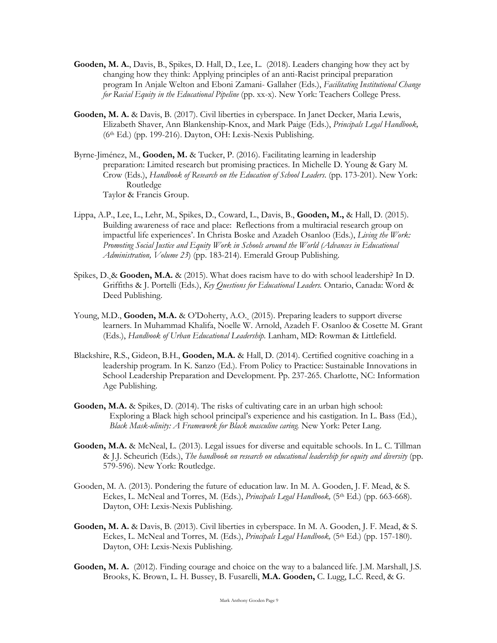- **Gooden, M. A.**, Davis, B., Spikes, D. Hall, D., Lee, L. (2018). Leaders changing how they act by changing how they think: Applying principles of an anti-Racist principal preparation program In Anjale Welton and Eboni Zamani- Gallaher (Eds.), *Facilitating Institutional Change for Racial Equity in the Educational Pipeline* (pp. xx-x). New York: Teachers College Press.
- **Gooden, M. A.** & Davis, B. (2017). Civil liberties in cyberspace. In Janet Decker, Maria Lewis, Elizabeth Shaver, Ann Blankenship-Knox, and Mark Paige (Eds.), *Principals Legal Handbook,*  (6th Ed.) (pp. 199-216). Dayton, OH: Lexis-Nexis Publishing.
- Byrne-Jiménez, M., **Gooden, M.** & Tucker, P. (2016). Facilitating learning in leadership preparation: Limited research but promising practices. In Michelle D. Young & Gary M. Crow (Eds.), *Handbook of Research on the Education of School Leaders*. (pp. 173-201). New York: Routledge Taylor & Francis Group.
- Lippa, A.P., Lee, L., Lehr, M., Spikes, D., Coward, L., Davis, B., **Gooden, M.,** & Hall, D. (2015). Building awareness of race and place: Reflections from a multiracial research group on impactful life experiences'. In Christa Boske and Azadeh Osanloo (Eds.), *Living the Work: Promoting Social Justice and Equity Work in Schools around the World (Advances in Educational Administration, Volume 23*) (pp. 183-214). Emerald Group Publishing.
- Spikes, D. & **Gooden, M.A.** & (2015). What does racism have to do with school leadership? In D. Griffiths & J. Portelli (Eds.), *Key Questions for Educational Leaders.* Ontario, Canada: Word & Deed Publishing.
- Young, M.D., **Gooden, M.A.** & O'Doherty, A.O. (2015). Preparing leaders to support diverse learners. In Muhammad Khalifa, Noelle W. Arnold, Azadeh F. Osanloo & Cosette M. Grant (Eds.), *Handbook of Urban Educational Leadership.* Lanham, MD: Rowman & Littlefield.
- Blackshire, R.S., Gideon, B.H., **Gooden, M.A.** & Hall, D. (2014). Certified cognitive coaching in a leadership program. In K. Sanzo (Ed.). From Policy to Practice: Sustainable Innovations in School Leadership Preparation and Development. Pp. 237-265. Charlotte, NC: Information Age Publishing.
- **Gooden, M.A.** & Spikes, D. (2014). The risks of cultivating care in an urban high school: Exploring a Black high school principal's experience and his castigation. In L. Bass (Ed.), *Black Mask-ulinity: A Framework for Black masculine caring.* New York: Peter Lang.
- **Gooden, M.A.** & McNeal, L. (2013). Legal issues for diverse and equitable schools. In L. C. Tillman & J.J. Scheurich (Eds.), *The handbook on research on educational leadership for equity and diversity* (pp. 579-596). New York: Routledge.
- Gooden, M. A. (2013). Pondering the future of education law. In M. A. Gooden, J. F. Mead, & S. Eckes, L. McNeal and Torres, M. (Eds.), *Principals Legal Handbook*, (5<sup>th</sup> Ed.) (pp. 663-668). Dayton, OH: Lexis-Nexis Publishing.
- **Gooden, M. A.** & Davis, B. (2013). Civil liberties in cyberspace. In M. A. Gooden, J. F. Mead, & S. Eckes, L. McNeal and Torres, M. (Eds.), *Principals Legal Handbook*, (5<sup>th</sup> Ed.) (pp. 157-180). Dayton, OH: Lexis-Nexis Publishing.
- **Gooden, M. A.** (2012). Finding courage and choice on the way to a balanced life. J.M. Marshall, J.S. Brooks, K. Brown, L. H. Bussey, B. Fusarelli, **M.A. Gooden,** C. Lugg, L.C. Reed, & G.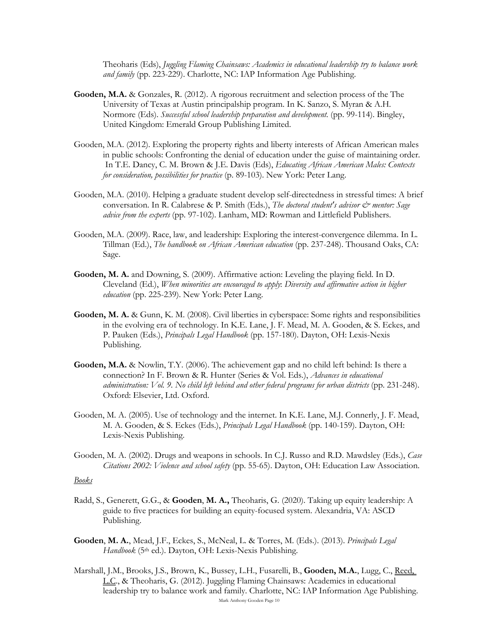Theoharis (Eds), *Juggling Flaming Chainsaws: Academics in educational leadership try to balance work and family* (pp. 223-229). Charlotte, NC: IAP Information Age Publishing.

- **Gooden, M.A.** & Gonzales, R. (2012). A rigorous recruitment and selection process of the The University of Texas at Austin principalship program. In K. Sanzo, S. Myran & A.H. Normore (Eds). *Successful school leadership preparation and development*. (pp. 99-114). Bingley, United Kingdom: Emerald Group Publishing Limited.
- Gooden, M.A. (2012). Exploring the property rights and liberty interests of African American males in public schools: Confronting the denial of education under the guise of maintaining order. In T.E. Dancy, C. M. Brown & J.E. Davis (Eds), *Educating African American Males: Contexts for consideration, possibilities for practice* (p. 89-103). New York: Peter Lang.
- Gooden, M.A. (2010). Helping a graduate student develop self-directedness in stressful times: A brief conversation. In R. Calabrese & P. Smith (Eds.), *The doctoral student's advisor*  $\breve{c}$ *<sup>2</sup> mentor: Sage advice from the experts* (pp. 97-102). Lanham, MD: Rowman and Littlefield Publishers.
- Gooden, M.A. (2009). Race, law, and leadership: Exploring the interest-convergence dilemma. In L. Tillman (Ed.), *The handbook on African American education* (pp. 237-248). Thousand Oaks, CA: Sage.
- **Gooden, M. A.** and Downing, S. (2009). Affirmative action: Leveling the playing field. In D. Cleveland (Ed.), *When minorities are encouraged to apply*: *Diversity and affirmative action in higher education* (pp. 225-239). New York: Peter Lang.
- **Gooden, M. A.** & Gunn, K. M. (2008). Civil liberties in cyberspace: Some rights and responsibilities in the evolving era of technology. In K.E. Lane, J. F. Mead, M. A. Gooden, & S. Eckes, and P. Pauken (Eds.), *Principals Legal Handbook* (pp. 157-180). Dayton, OH: Lexis-Nexis Publishing.
- **Gooden, M.A.** & Nowlin, T.Y. (2006). The achievement gap and no child left behind: Is there a connection? In F. Brown & R. Hunter (Series & Vol. Eds.), *Advances in educational administration: Vol. 9. No child left behind and other federal programs for urban districts* (pp. 231-248). Oxford: Elsevier, Ltd. Oxford.
- Gooden, M. A. (2005). Use of technology and the internet. In K.E. Lane, M.J. Connerly, J. F. Mead, M. A. Gooden, & S. Eckes (Eds.), *Principals Legal Handbook* (pp. 140-159). Dayton, OH: Lexis-Nexis Publishing.
- Gooden, M. A. (2002). Drugs and weapons in schools. In C.J. Russo and R.D. Mawdsley (Eds.), *Case Citations 2002: Violence and school safety* (pp. 55-65). Dayton, OH: Education Law Association.

#### *Books*

- Radd, S., Generett, G.G., & **Gooden**, **M. A.,** Theoharis, G. (2020). Taking up equity leadership: A guide to five practices for building an equity-focused system. Alexandria, VA: ASCD Publishing.
- **Gooden**, **M. A.**, Mead, J.F., Eckes, S., McNeal, L. & Torres, M. (Eds.). (2013). *Principals Legal Handbook* (5th ed.). Dayton, OH: Lexis-Nexis Publishing.
- Mark Anthony Gooden Page 10 Marshall, J.M., Brooks, J.S., Brown, K., Bussey, L.H., Fusarelli, B., **Gooden, M.A.**, Lugg, C., Reed, L.C., & Theoharis, G. (2012). Juggling Flaming Chainsaws: Academics in educational leadership try to balance work and family. Charlotte, NC: IAP Information Age Publishing.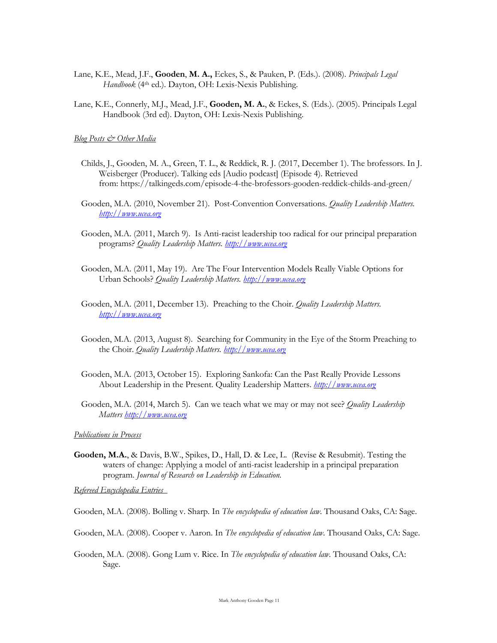- Lane, K.E., Mead, J.F., **Gooden**, **M. A.,** Eckes, S., & Pauken, P. (Eds.). (2008). *Principals Legal*  Handbook (4<sup>th</sup> ed.). Dayton, OH: Lexis-Nexis Publishing.
- Lane, K.E., Connerly, M.J., Mead, J.F., **Gooden, M. A.**, & Eckes, S. (Eds.). (2005). Principals Legal Handbook (3rd ed). Dayton, OH: Lexis-Nexis Publishing.

*Blog Posts & Other Media*

- Childs, J., Gooden, M. A., Green, T. L., & Reddick, R. J. (2017, December 1). The brofessors. In J. Weisberger (Producer). Talking eds [Audio podcast] (Episode 4). Retrieved from: https://talkingeds.com/episode-4-the-brofessors-gooden-reddick-childs-and-green/
- Gooden, M.A. (2010, November 21). Post-Convention Conversations. *Quality Leadership Matters. http://www.ucea.org*
- Gooden, M.A. (2011, March 9). Is Anti-racist leadership too radical for our principal preparation programs? *Quality Leadership Matters. http://www.ucea.org*
- Gooden, M.A. (2011, May 19). Are The Four Intervention Models Really Viable Options for Urban Schools? *Quality Leadership Matters. http://www.ucea.org*
- Gooden, M.A. (2011, December 13). Preaching to the Choir. *Quality Leadership Matters. http://www.ucea.org*
- Gooden, M.A. (2013, August 8). Searching for Community in the Eye of the Storm Preaching to the Choir. *Quality Leadership Matters. http://www.ucea.org*
- Gooden, M.A. (2013, October 15). Exploring Sankofa: Can the Past Really Provide Lessons About Leadership in the Present. Quality Leadership Matters. *http://www.ucea.org*
- Gooden, M.A. (2014, March 5). Can we teach what we may or may not see? *Quality Leadership Matters http://www.ucea.org*

*Publications in Process*

**Gooden, M.A.**, & Davis, B.W., Spikes, D., Hall, D. & Lee, L. (Revise & Resubmit). Testing the waters of change: Applying a model of anti-racist leadership in a principal preparation program. *Journal of Research on Leadership in Education.* 

*Refereed Encyclopedia Entries* 

Gooden, M.A. (2008). Bolling v. Sharp. In *The encyclopedia of education law*. Thousand Oaks, CA: Sage.

- Gooden, M.A. (2008). Cooper v. Aaron. In *The encyclopedia of education law*. Thousand Oaks, CA: Sage.
- Gooden, M.A. (2008). Gong Lum v. Rice. In *The encyclopedia of education law*. Thousand Oaks, CA: Sage.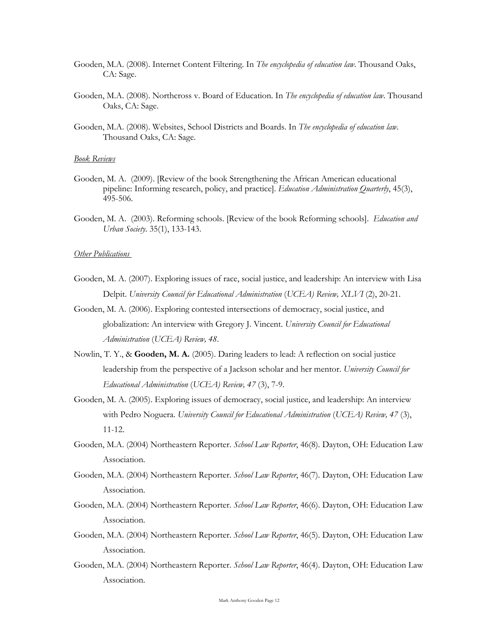- Gooden, M.A. (2008). Internet Content Filtering. In *The encyclopedia of education law*. Thousand Oaks, CA: Sage.
- Gooden, M.A. (2008). Northcross v. Board of Education. In *The encyclopedia of education law*. Thousand Oaks, CA: Sage.
- Gooden, M.A. (2008). Websites, School Districts and Boards. In *The encyclopedia of education law*. Thousand Oaks, CA: Sage.

#### *Book Reviews*

- Gooden, M. A. (2009). [Review of the book Strengthening the African American educational pipeline: Informing research, policy, and practice]. *Education Administration Quarterly*, 45(3), 495-506.
- Gooden, M. A. (2003). Reforming schools. [Review of the book Reforming schools]. *Education and Urban Society*. 35(1), 133-143.

#### *Other Publications*

- Gooden, M. A. (2007). Exploring issues of race, social justice, and leadership: An interview with Lisa Delpit. *University Council for Educational Administration* (*UCEA) Review, XLVI* (2), 20-21.
- Gooden, M. A. (2006). Exploring contested intersections of democracy, social justice, and globalization: An interview with Gregory J. Vincent. *University Council for Educational Administration* (*UCEA) Review, 48*.
- Nowlin, T. Y., & **Gooden, M. A.** (2005). Daring leaders to lead: A reflection on social justice leadership from the perspective of a Jackson scholar and her mentor. *University Council for Educational Administration* (*UCEA) Review, 47* (3), 7-9.
- Gooden, M. A. (2005). Exploring issues of democracy, social justice, and leadership: An interview with Pedro Noguera. *University Council for Educational Administration* (*UCEA) Review, 47* (3), 11-12.
- Gooden, M.A. (2004) Northeastern Reporter. *School Law Reporter*, 46(8). Dayton, OH: Education Law Association.
- Gooden, M.A. (2004) Northeastern Reporter. *School Law Reporter*, 46(7). Dayton, OH: Education Law Association.
- Gooden, M.A. (2004) Northeastern Reporter. *School Law Reporter*, 46(6). Dayton, OH: Education Law Association.
- Gooden, M.A. (2004) Northeastern Reporter. *School Law Reporter*, 46(5). Dayton, OH: Education Law Association.
- Gooden, M.A. (2004) Northeastern Reporter. *School Law Reporter*, 46(4). Dayton, OH: Education Law Association.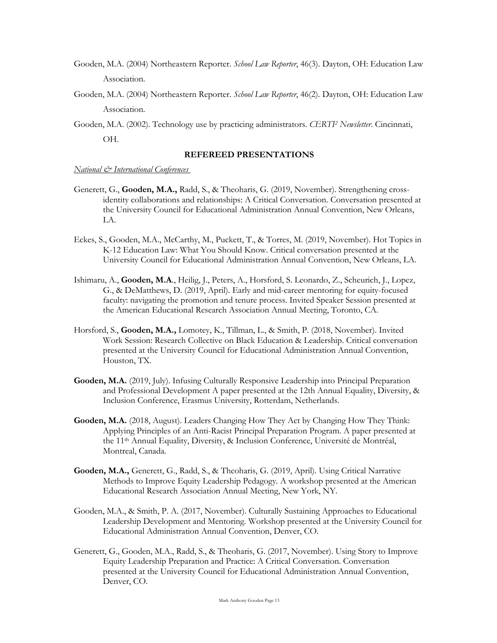- Gooden, M.A. (2004) Northeastern Reporter. *School Law Reporter*, 46(3). Dayton, OH: Education Law Association.
- Gooden, M.A. (2004) Northeastern Reporter. *School Law Reporter*, 46(2). Dayton, OH: Education Law Association.
- Gooden, M.A. (2002). Technology use by practicing administrators. *CERTI2 Newsletter*. Cincinnati, OH.

#### **REFEREED PRESENTATIONS**

*National & International Conferences* 

- Generett, G., **Gooden, M.A.,** Radd, S., & Theoharis, G. (2019, November). Strengthening crossidentity collaborations and relationships: A Critical Conversation. Conversation presented at the University Council for Educational Administration Annual Convention, New Orleans, LA.
- Eckes, S., Gooden, M.A., McCarthy, M., Puckett, T., & Torres, M. (2019, November). Hot Topics in K-12 Education Law: What You Should Know. Critical conversation presented at the University Council for Educational Administration Annual Convention, New Orleans, LA.
- Ishimaru, A., **Gooden, M.A**., Heilig, J., Peters, A., Horsford, S. Leonardo, Z., Scheurich, J., Lopez, G., & DeMatthews, D. (2019, April). Early and mid-career mentoring for equity-focused faculty: navigating the promotion and tenure process. Invited Speaker Session presented at the American Educational Research Association Annual Meeting, Toronto, CA.
- Horsford, S., **Gooden, M.A.,** Lomotey, K., Tillman, L., & Smith, P. (2018, November). Invited Work Session: Research Collective on Black Education & Leadership. Critical conversation presented at the University Council for Educational Administration Annual Convention, Houston, TX.
- **Gooden, M.A.** (2019, July). Infusing Culturally Responsive Leadership into Principal Preparation and Professional Development A paper presented at the 12th Annual Equality, Diversity, & Inclusion Conference, Erasmus University, Rotterdam, Netherlands.
- **Gooden, M.A.** (2018, August). Leaders Changing How They Act by Changing How They Think: Applying Principles of an Anti-Racist Principal Preparation Program. A paper presented at the 11th Annual Equality, Diversity, & Inclusion Conference, Université de Montréal, Montreal, Canada.
- **Gooden, M.A.,** Generett, G., Radd, S., & Theoharis, G. (2019, April). Using Critical Narrative Methods to Improve Equity Leadership Pedagogy. A workshop presented at the American Educational Research Association Annual Meeting, New York, NY.
- Gooden, M.A., & Smith, P. A. (2017, November). Culturally Sustaining Approaches to Educational Leadership Development and Mentoring. Workshop presented at the University Council for Educational Administration Annual Convention, Denver, CO.
- Generett, G., Gooden, M.A., Radd, S., & Theoharis, G. (2017, November). Using Story to Improve Equity Leadership Preparation and Practice: A Critical Conversation. Conversation presented at the University Council for Educational Administration Annual Convention, Denver, CO.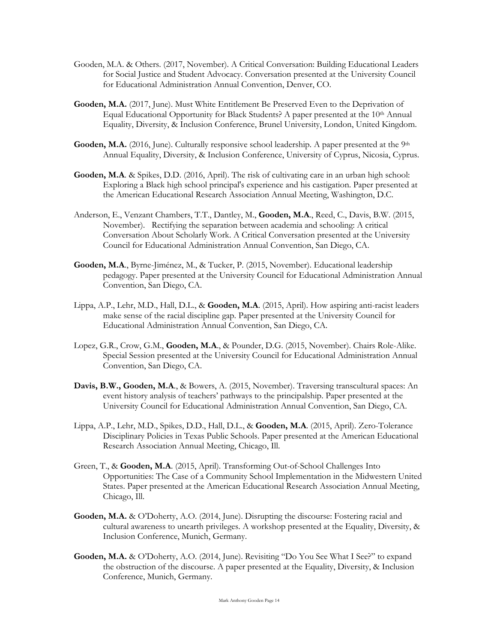- Gooden, M.A. & Others. (2017, November). A Critical Conversation: Building Educational Leaders for Social Justice and Student Advocacy. Conversation presented at the University Council for Educational Administration Annual Convention, Denver, CO.
- **Gooden, M.A.** (2017, June). Must White Entitlement Be Preserved Even to the Deprivation of Equal Educational Opportunity for Black Students? A paper presented at the 10<sup>th</sup> Annual Equality, Diversity, & Inclusion Conference, Brunel University, London, United Kingdom.
- Gooden, M.A. (2016, June). Culturally responsive school leadership. A paper presented at the 9<sup>th</sup> Annual Equality, Diversity, & Inclusion Conference, University of Cyprus, Nicosia, Cyprus.
- **Gooden, M.A**. & Spikes, D.D. (2016, April). The risk of cultivating care in an urban high school: Exploring a Black high school principal's experience and his castigation. Paper presented at the American Educational Research Association Annual Meeting, Washington, D.C.
- Anderson, E., Venzant Chambers, T.T., Dantley, M., **Gooden, M.A**., Reed, C., Davis, B.W. (2015, November). Rectifying the separation between academia and schooling: A critical Conversation About Scholarly Work. A Critical Conversation presented at the University Council for Educational Administration Annual Convention, San Diego, CA.
- **Gooden, M.A**., Byrne-Jiménez, M., & Tucker, P. (2015, November). Educational leadership pedagogy. Paper presented at the University Council for Educational Administration Annual Convention, San Diego, CA.
- Lippa, A.P., Lehr, M.D., Hall, D.L., & **Gooden, M.A**. (2015, April). How aspiring anti-racist leaders make sense of the racial discipline gap. Paper presented at the University Council for Educational Administration Annual Convention, San Diego, CA.
- Lopez, G.R., Crow, G.M., **Gooden, M.A**., & Pounder, D.G. (2015, November). Chairs Role-Alike. Special Session presented at the University Council for Educational Administration Annual Convention, San Diego, CA.
- **Davis, B.W., Gooden, M.A**., & Bowers, A. (2015, November). Traversing transcultural spaces: An event history analysis of teachers' pathways to the principalship. Paper presented at the University Council for Educational Administration Annual Convention, San Diego, CA.
- Lippa, A.P., Lehr, M.D., Spikes, D.D., Hall, D.L., & **Gooden, M.A**. (2015, April). Zero-Tolerance Disciplinary Policies in Texas Public Schools. Paper presented at the American Educational Research Association Annual Meeting, Chicago, Ill.
- Green, T., & **Gooden, M.A**. (2015, April). Transforming Out-of-School Challenges Into Opportunities: The Case of a Community School Implementation in the Midwestern United States. Paper presented at the American Educational Research Association Annual Meeting, Chicago, Ill.
- **Gooden, M.A.** & O'Doherty, A.O. (2014, June). Disrupting the discourse: Fostering racial and cultural awareness to unearth privileges. A workshop presented at the Equality, Diversity, & Inclusion Conference, Munich, Germany.
- Gooden, M.A. & O'Doherty, A.O. (2014, June). Revisiting "Do You See What I See?" to expand the obstruction of the discourse. A paper presented at the Equality, Diversity, & Inclusion Conference, Munich, Germany.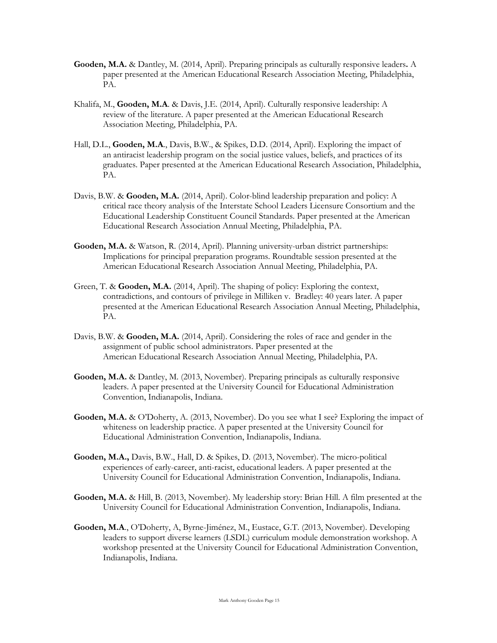- **Gooden, M.A.** & Dantley, M. (2014, April). Preparing principals as culturally responsive leaders**.** A paper presented at the American Educational Research Association Meeting, Philadelphia, PA.
- Khalifa, M., **Gooden, M.A**. & Davis, J.E. (2014, April). Culturally responsive leadership: A review of the literature. A paper presented at the American Educational Research Association Meeting, Philadelphia, PA.
- Hall, D.L., **Gooden, M.A**., Davis, B.W., & Spikes, D.D. (2014, April). Exploring the impact of an antiracist leadership program on the social justice values, beliefs, and practices of its graduates. Paper presented at the American Educational Research Association, Philadelphia, PA.
- Davis, B.W. & **Gooden, M.A.** (2014, April). Color-blind leadership preparation and policy: A critical race theory analysis of the Interstate School Leaders Licensure Consortium and the Educational Leadership Constituent Council Standards. Paper presented at the American Educational Research Association Annual Meeting, Philadelphia, PA.
- **Gooden, M.A.** & Watson, R. (2014, April). Planning university-urban district partnerships: Implications for principal preparation programs. Roundtable session presented at the American Educational Research Association Annual Meeting, Philadelphia, PA.
- Green, T. & **Gooden, M.A.** (2014, April). The shaping of policy: Exploring the context, contradictions, and contours of privilege in Milliken v. Bradley: 40 years later. A paper presented at the American Educational Research Association Annual Meeting, Philadelphia, PA.
- Davis, B.W. & **Gooden, M.A.** (2014, April). Considering the roles of race and gender in the assignment of public school administrators. Paper presented at the American Educational Research Association Annual Meeting, Philadelphia, PA.
- **Gooden, M.A.** & Dantley, M. (2013, November). Preparing principals as culturally responsive leaders. A paper presented at the University Council for Educational Administration Convention, Indianapolis, Indiana.
- **Gooden, M.A.** & O'Doherty, A. (2013, November). Do you see what I see? Exploring the impact of whiteness on leadership practice. A paper presented at the University Council for Educational Administration Convention, Indianapolis, Indiana.
- **Gooden, M.A.,** Davis, B.W., Hall, D. & Spikes, D. (2013, November). The micro-political experiences of early-career, anti-racist, educational leaders. A paper presented at the University Council for Educational Administration Convention, Indianapolis, Indiana.
- **Gooden, M.A.** & Hill, B. (2013, November). My leadership story: Brian Hill. A film presented at the University Council for Educational Administration Convention, Indianapolis, Indiana.
- **Gooden, M.A**., O'Doherty, A, Byrne-Jiménez, M., Eustace, G.T. (2013, November). Developing leaders to support diverse learners (LSDL) curriculum module demonstration workshop. A workshop presented at the University Council for Educational Administration Convention, Indianapolis, Indiana.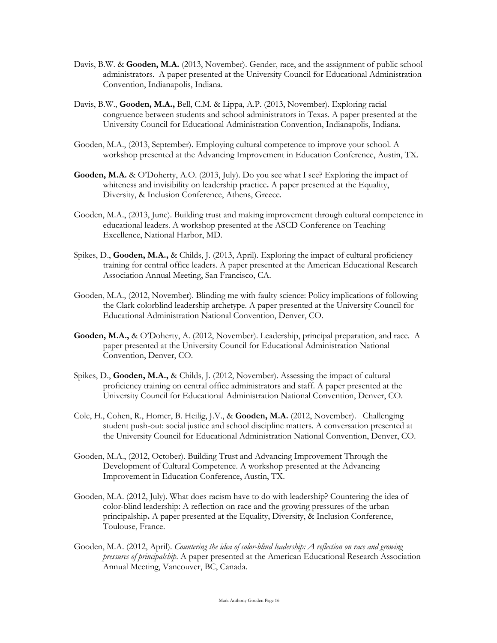- Davis, B.W. & **Gooden, M.A.** (2013, November). Gender, race, and the assignment of public school administrators. A paper presented at the University Council for Educational Administration Convention, Indianapolis, Indiana.
- Davis, B.W., **Gooden, M.A.,** Bell, C.M. & Lippa, A.P. (2013, November). Exploring racial congruence between students and school administrators in Texas. A paper presented at the University Council for Educational Administration Convention, Indianapolis, Indiana.
- Gooden, M.A., (2013, September). Employing cultural competence to improve your school. A workshop presented at the Advancing Improvement in Education Conference, Austin, TX.
- Gooden, M.A. & O'Doherty, A.O. (2013, July). Do you see what I see? Exploring the impact of whiteness and invisibility on leadership practice**.** A paper presented at the Equality, Diversity, & Inclusion Conference, Athens, Greece.
- Gooden, M.A., (2013, June). Building trust and making improvement through cultural competence in educational leaders. A workshop presented at the ASCD Conference on Teaching Excellence, National Harbor, MD.
- Spikes, D., **Gooden, M.A.,** & Childs, J. (2013, April). Exploring the impact of cultural proficiency training for central office leaders. A paper presented at the American Educational Research Association Annual Meeting, San Francisco, CA.
- Gooden, M.A., (2012, November). Blinding me with faulty science: Policy implications of following the Clark colorblind leadership archetype. A paper presented at the University Council for Educational Administration National Convention, Denver, CO.
- **Gooden, M.A.,** & O'Doherty, A. (2012, November). Leadership, principal preparation, and race. A paper presented at the University Council for Educational Administration National Convention, Denver, CO.
- Spikes, D., **Gooden, M.A.,** & Childs, J. (2012, November). Assessing the impact of cultural proficiency training on central office administrators and staff. A paper presented at the University Council for Educational Administration National Convention, Denver, CO.
- Cole, H., Cohen, R., Homer, B. Heilig, J.V., & **Gooden, M.A.** (2012, November). Challenging student push-out: social justice and school discipline matters. A conversation presented at the University Council for Educational Administration National Convention, Denver, CO.
- Gooden, M.A., (2012, October). Building Trust and Advancing Improvement Through the Development of Cultural Competence. A workshop presented at the Advancing Improvement in Education Conference, Austin, TX.
- Gooden, M.A. (2012, July). What does racism have to do with leadership? Countering the idea of color-blind leadership: A reflection on race and the growing pressures of the urban principalship**.** A paper presented at the Equality, Diversity, & Inclusion Conference, Toulouse, France.
- Gooden, M.A. (2012, April). *Countering the idea of color-blind leadership: A reflection on race and growing pressures of principalship*. A paper presented at the American Educational Research Association Annual Meeting, Vancouver, BC, Canada.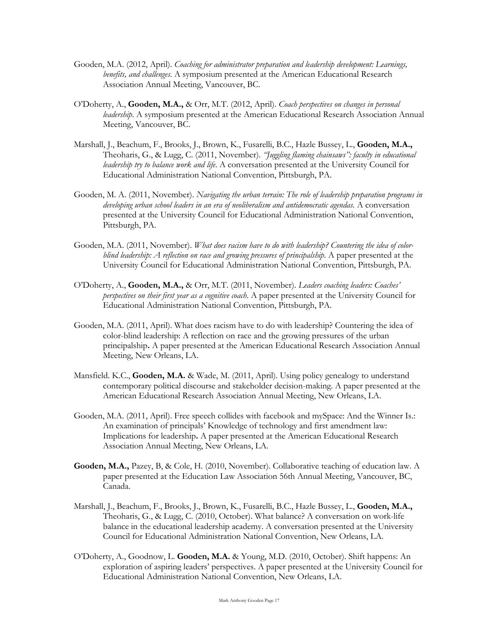- Gooden, M.A. (2012, April). *Coaching for administrator preparation and leadership development: Learnings, benefits, and challenges*. A symposium presented at the American Educational Research Association Annual Meeting, Vancouver, BC.
- O'Doherty, A., **Gooden, M.A.,** & Orr, M.T. (2012, April). *Coach perspectives on changes in personal leadership*. A symposium presented at the American Educational Research Association Annual Meeting, Vancouver, BC.
- Marshall, J., Beachum, F., Brooks, J., Brown, K., Fusarelli, B.C., Hazle Bussey, L., **Gooden, M.A.,** Theoharis, G., & Lugg, C. (2011, November). *"Juggling flaming chainsaws": faculty in educational leadership try to balance work and life*. A conversation presented at the University Council for Educational Administration National Convention, Pittsburgh, PA.
- Gooden, M. A. (2011, November). *Navigating the urban terrain: The role of leadership preparation programs in developing urban school leaders in an era of neoliberalism and antidemocratic agendas.* A conversation presented at the University Council for Educational Administration National Convention, Pittsburgh, PA.
- Gooden, M.A. (2011, November). *What does racism have to do with leadership? Countering the idea of colorblind leadership: A reflection on race and growing pressures of principalship*. A paper presented at the University Council for Educational Administration National Convention, Pittsburgh, PA.
- O'Doherty, A., **Gooden, M.A.,** & Orr, M.T. (2011, November). *Leaders coaching leaders: Coaches' perspectives on their first year as a cognitive coach*. A paper presented at the University Council for Educational Administration National Convention, Pittsburgh, PA.
- Gooden, M.A. (2011, April). What does racism have to do with leadership? Countering the idea of color-blind leadership: A reflection on race and the growing pressures of the urban principalship**.** A paper presented at the American Educational Research Association Annual Meeting, New Orleans, LA.
- Mansfield. K.C., **Gooden, M.A.** & Wade, M. (2011, April). Using policy genealogy to understand contemporary political discourse and stakeholder decision-making. A paper presented at the American Educational Research Association Annual Meeting, New Orleans, LA.
- Gooden, M.A. (2011, April). Free speech collides with facebook and mySpace: And the Winner Is.: An examination of principals' Knowledge of technology and first amendment law: Implications for leadership**.** A paper presented at the American Educational Research Association Annual Meeting, New Orleans, LA.
- **Gooden, M.A.,** Pazey, B, & Cole, H. (2010, November). Collaborative teaching of education law. A paper presented at the Education Law Association 56th Annual Meeting, Vancouver, BC, Canada.
- Marshall, J., Beachum, F., Brooks, J., Brown, K., Fusarelli, B.C., Hazle Bussey, L., **Gooden, M.A.,** Theoharis, G., & Lugg, C. (2010, October). What balance? A conversation on work-life balance in the educational leadership academy. A conversation presented at the University Council for Educational Administration National Convention, New Orleans, LA.
- O'Doherty, A., Goodnow, L. **Gooden, M.A.** & Young, M.D. (2010, October). Shift happens: An exploration of aspiring leaders' perspectives. A paper presented at the University Council for Educational Administration National Convention, New Orleans, LA.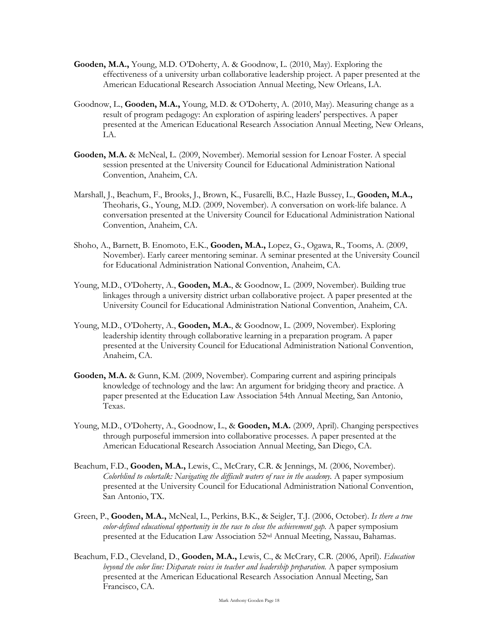- **Gooden, M.A.,** Young, M.D. O'Doherty, A. & Goodnow, L. (2010, May). Exploring the effectiveness of a university urban collaborative leadership project. A paper presented at the American Educational Research Association Annual Meeting, New Orleans, LA.
- Goodnow, L., **Gooden, M.A.,** Young, M.D. & O'Doherty, A. (2010, May). Measuring change as a result of program pedagogy: An exploration of aspiring leaders' perspectives. A paper presented at the American Educational Research Association Annual Meeting, New Orleans, LA.
- **Gooden, M.A.** & McNeal, L. (2009, November). Memorial session for Lenoar Foster. A special session presented at the University Council for Educational Administration National Convention, Anaheim, CA.
- Marshall, J., Beachum, F., Brooks, J., Brown, K., Fusarelli, B.C., Hazle Bussey, L., **Gooden, M.A.,** Theoharis, G., Young, M.D. (2009, November). A conversation on work-life balance. A conversation presented at the University Council for Educational Administration National Convention, Anaheim, CA.
- Shoho, A., Barnett, B. Enomoto, E.K., **Gooden, M.A.,** Lopez, G., Ogawa, R., Tooms, A. (2009, November). Early career mentoring seminar. A seminar presented at the University Council for Educational Administration National Convention, Anaheim, CA.
- Young, M.D., O'Doherty, A., **Gooden, M.A.**, & Goodnow, L. (2009, November). Building true linkages through a university district urban collaborative project. A paper presented at the University Council for Educational Administration National Convention, Anaheim, CA.
- Young, M.D., O'Doherty, A., **Gooden, M.A.**, & Goodnow, L. (2009, November). Exploring leadership identity through collaborative learning in a preparation program. A paper presented at the University Council for Educational Administration National Convention, Anaheim, CA.
- **Gooden, M.A.** & Gunn, K.M. (2009, November). Comparing current and aspiring principals knowledge of technology and the law: An argument for bridging theory and practice. A paper presented at the Education Law Association 54th Annual Meeting, San Antonio, Texas.
- Young, M.D., O'Doherty, A., Goodnow, L., & **Gooden, M.A.** (2009, April). Changing perspectives through purposeful immersion into collaborative processes. A paper presented at the American Educational Research Association Annual Meeting, San Diego, CA.
- Beachum, F.D., **Gooden, M.A.,** Lewis, C., McCrary, C.R. & Jennings, M. (2006, November). *Colorblind to colortalk: Navigating the difficult waters of race in the academy.* A paper symposium presented at the University Council for Educational Administration National Convention, San Antonio, TX.
- Green, P., **Gooden, M.A.,** McNeal, L., Perkins, B.K., & Seigler, T.J. (2006, October). *Is there a true color-defined educational opportunity in the race to close the achievement gap.* A paper symposium presented at the Education Law Association 52nd Annual Meeting, Nassau, Bahamas.
- Beachum, F.D., Cleveland, D., **Gooden, M.A.,** Lewis, C., & McCrary, C.R. (2006, April). *Education beyond the color line: Disparate voices in teacher and leadership preparation.* A paper symposium presented at the American Educational Research Association Annual Meeting, San Francisco, CA.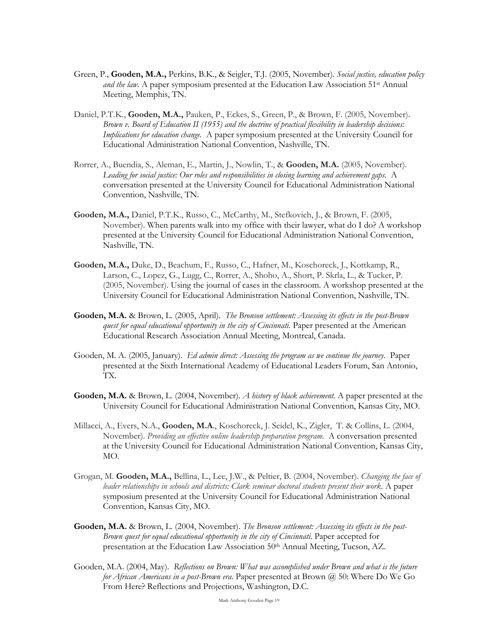- Green, P., **Gooden, M.A.,** Perkins, B.K., & Seigler, T.J. (2005, November). *Social justice, education policy and the law.* A paper symposium presented at the Education Law Association 51<sup>st</sup> Annual Meeting, Memphis, TN.
- Daniel, P.T.K., **Gooden, M.A.,** Pauken, P., Eckes, S., Green, P., & Brown, F. (2005, November). *Brown v. Board of Education II (1955) and the doctrine of practical flexibility in leadership decisions: Implications for education change.* A paper symposium presented at the University Council for Educational Administration National Convention, Nashville, TN.
- Rorrer, A., Buendia, S., Aleman, E., Martin, J., Nowlin, T., & **Gooden, M.A.** (2005, November). *Leading for social justice: Our roles and responsibilities in closing learning and achievement gaps.* A conversation presented at the University Council for Educational Administration National Convention, Nashville, TN.
- **Gooden, M.A.,** Daniel, P.T.K., Russo, C., McCarthy, M., Stefkovich, J., & Brown, F. (2005, November). When parents walk into my office with their lawyer, what do I do? A workshop presented at the University Council for Educational Administration National Convention, Nashville, TN.
- **Gooden, M.A.,** Duke, D., Beachum, F., Russo, C., Hafner, M., Koschoreck, J., Kottkamp, R., Larson, C., Lopez, G., Lugg, C., Rorrer, A., Shoho, A., Short, P. Skrla, L., & Tucker, P. (2005, November). Using the journal of cases in the classroom. A workshop presented at the University Council for Educational Administration National Convention, Nashville, TN.
- **Gooden, M.A.** & Brown, L. (2005, April). *The Bronson settlement: Assessing its effects in the post-Brown quest for equal educational opportunity in the city of Cincinnati.* Paper presented at the American Educational Research Association Annual Meeting, Montreal, Canada.
- Gooden, M. A. (2005, January). *Ed admin direct: Assessing the program as we continue the journey.* Paper presented at the Sixth International Academy of Educational Leaders Forum, San Antonio, TX.
- **Gooden, M.A.** & Brown, L. (2004, November). *A history of black achievement*. A paper presented at the University Council for Educational Administration National Convention, Kansas City, MO.
- Millacci, A., Evers, N.A., **Gooden, M.A**., Koschoreck, J. Seidel, K., Zigler, T. & Collins, L. (2004, November). *Providing an effective online leadership preparation program.* A conversation presented at the University Council for Educational Administration National Convention, Kansas City, MO.
- Grogan, M. **Gooden, M.A.,** Bellina, L., Lee, J.W., & Peltier, B. (2004, November). *Changing the face of leader relationships in schools and districts: Clark seminar doctoral students present their work.* A paper symposium presented at the University Council for Educational Administration National Convention, Kansas City, MO.
- **Gooden, M.A.** & Brown, L. (2004, November). *The Bronson settlement: Assessing its effects in the post-*Brown quest for equal educational opportunity in the city of Cincinnati. Paper accepted for presentation at the Education Law Association 50th Annual Meeting, Tucson, AZ.
- Gooden, M.A. (2004, May). *Reflections on Brown: What was accomplished under Brown and what is the future for African Americans in a post-Brown era*. Paper presented at Brown @ 50: Where Do We Go From Here? Reflections and Projections, Washington, D.C.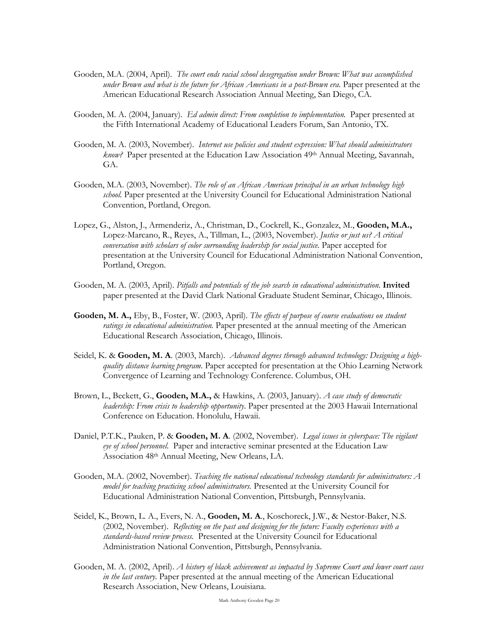- Gooden, M.A. (2004, April). *The court ends racial school desegregation under Brown: What was accomplished under Brown and what is the future for African Americans in a post-Brown era*. Paper presented at the American Educational Research Association Annual Meeting, San Diego, CA.
- Gooden, M. A. (2004, January). *Ed admin direct: From completion to implementation.* Paper presented at the Fifth International Academy of Educational Leaders Forum, San Antonio, TX.
- Gooden, M. A. (2003, November). *Internet use policies and student expression: What should administrators know?* Paper presented at the Education Law Association 49th Annual Meeting, Savannah, GA.
- Gooden, M.A. (2003, November). *The role of an African American principal in an urban technology high school.* Paper presented at the University Council for Educational Administration National Convention, Portland, Oregon.
- Lopez, G., Alston, J., Armenderiz, A., Christman, D., Cockrell, K., Gonzalez, M., **Gooden, M.A.,** Lopez-Marcano, R., Reyes, A., Tillman, L., (2003, November). *Justice or just us? A critical conversation with scholars of color surrounding leadership for social justice.* Paper accepted for presentation at the University Council for Educational Administration National Convention, Portland, Oregon.
- Gooden, M. A. (2003, April). *Pitfalls and potentials of the job search in educational administration*. **Invited** paper presented at the David Clark National Graduate Student Seminar, Chicago, Illinois.
- **Gooden, M. A.,** Eby, B., Foster, W. (2003, April). *The effects of purpose of course evaluations on student ratings in educational administration.* Paper presented at the annual meeting of the American Educational Research Association, Chicago, Illinois.
- Seidel, K. & **Gooden, M. A**. (2003, March). *Advanced degrees through advanced technology: Designing a highquality distance learning program*. Paper accepted for presentation at the Ohio Learning Network Convergence of Learning and Technology Conference. Columbus, OH.
- Brown, L., Beckett, G., **Gooden, M.A.,** & Hawkins, A. (2003, January). *A case study of democratic leadership: From crisis to leadership opportunity*. Paper presented at the 2003 Hawaii International Conference on Education. Honolulu, Hawaii.
- Daniel, P.T.K., Pauken, P. & **Gooden, M. A**. (2002, November). *Legal issues in cyberspace: The vigilant eye of school personnel.* Paper and interactive seminar presented at the Education Law Association 48th Annual Meeting, New Orleans, LA.
- Gooden, M.A. (2002, November). *Teaching the national educational technology standards for administrators: A model for teaching practicing school administrators.* Presented at the University Council for Educational Administration National Convention, Pittsburgh, Pennsylvania.
- Seidel, K., Brown, L. A., Evers, N. A., **Gooden, M. A**., Koschoreck, J.W., & Nestor-Baker, N.S. (2002, November). *Reflecting on the past and designing for the future: Faculty experiences with a standards-based review process.* Presented at the University Council for Educational Administration National Convention, Pittsburgh, Pennsylvania.
- Gooden, M. A. (2002, April). *A history of black achievement as impacted by Supreme Court and lower court cases in the last century*. Paper presented at the annual meeting of the American Educational Research Association, New Orleans, Louisiana.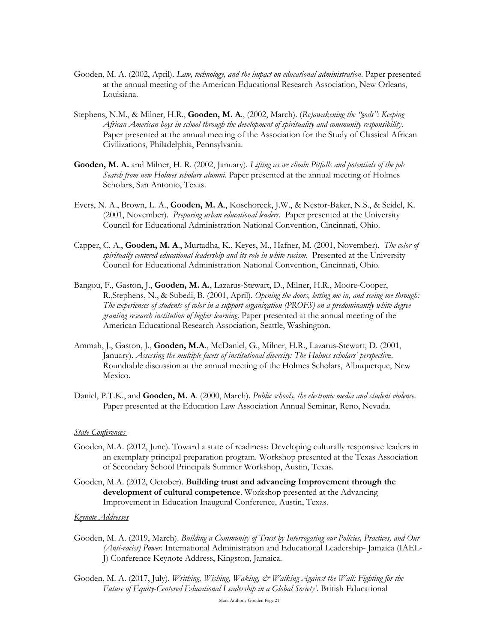- Gooden, M. A. (2002, April). *Law, technology, and the impact on educational administration.* Paper presented at the annual meeting of the American Educational Research Association, New Orleans, Louisiana.
- Stephens, N.M., & Milner, H.R., **Gooden, M. A**., (2002, March). (*Re)awakening the "gods": Keeping African American boys in school through the development of spirituality and community responsibility*. Paper presented at the annual meeting of the Association for the Study of Classical African Civilizations, Philadelphia, Pennsylvania.
- **Gooden, M. A.** and Milner, H. R. (2002, January). *Lifting as we climb: Pitfalls and potentials of the job Search from new Holmes scholars alumni*. Paper presented at the annual meeting of Holmes Scholars, San Antonio, Texas.
- Evers, N. A., Brown, L. A., **Gooden, M. A**., Koschoreck, J.W., & Nestor-Baker, N.S., & Seidel, K. (2001, November). *Preparing urban educational leaders*. Paper presented at the University Council for Educational Administration National Convention, Cincinnati, Ohio.
- Capper, C. A., **Gooden, M. A**., Murtadha, K., Keyes, M., Hafner, M. (2001, November). *The color of spiritually centered educational leadership and its role in white racism*. Presented at the University Council for Educational Administration National Convention, Cincinnati, Ohio.
- Bangou, F., Gaston, J., **Gooden, M. A.**, Lazarus-Stewart, D., Milner, H.R., Moore-Cooper, R.,Stephens, N., & Subedi, B. (2001, April). *Opening the doors, letting me in, and seeing me through: The experiences of students of color in a support organization (PROFS) on a predominantly white degree granting research institution of higher learning*. Paper presented at the annual meeting of the American Educational Research Association, Seattle, Washington.
- Ammah, J., Gaston, J., **Gooden, M.A**., McDaniel, G., Milner, H.R., Lazarus-Stewart, D. (2001, January). *Assessing the multiple facets of institutional diversity: The Holmes scholars' perspectiv*e. Roundtable discussion at the annual meeting of the Holmes Scholars, Albuquerque, New Mexico.
- Daniel, P.T.K., and **Gooden, M. A**. (2000, March). *Public schools, the electronic media and student violence*. Paper presented at the Education Law Association Annual Seminar, Reno, Nevada.

#### *State Conferences*

- Gooden, M.A. (2012, June). Toward a state of readiness: Developing culturally responsive leaders in an exemplary principal preparation program. Workshop presented at the Texas Association of Secondary School Principals Summer Workshop, Austin, Texas.
- Gooden, M.A. (2012, October). **Building trust and advancing Improvement through the development of cultural competence**. Workshop presented at the Advancing Improvement in Education Inaugural Conference, Austin, Texas.

#### *Keynote Addresses*

- Gooden, M. A. (2019, March). *Building a Community of Trust by Interrogating our Policies, Practices, and Our (Anti-racist) Power.* International Administration and Educational Leadership- Jamaica (IAEL-J) Conference Keynote Address, Kingston, Jamaica.
- Gooden, M. A. (2017, July). *Writhing, Wishing, Waking, & Walking Against the Wall: Fighting for the Future of Equity-Centered Educational Leadership in a Global Society'.* British Educational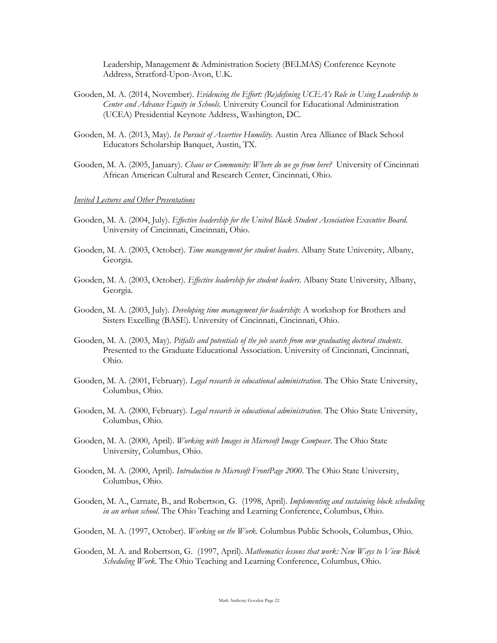Leadership, Management & Administration Society (BELMAS) Conference Keynote Address, Stratford-Upon-Avon, U.K.

- Gooden, M. A. (2014, November). *Evidencing the Effort: (Re)defining UCEA's Role in Using Leadership to Center and Advance Equity in Schools.* University Council for Educational Administration (UCEA) Presidential Keynote Address, Washington, DC.
- Gooden, M. A. (2013, May). *In Pursuit of Assertive Humility.* Austin Area Alliance of Black School Educators Scholarship Banquet, Austin, TX.
- Gooden, M. A. (2005, January). *Chaos or Community: Where do we go from here?* University of Cincinnati African American Cultural and Research Center, Cincinnati, Ohio.

#### *Invited Lectures and Other Presentations*

- Gooden, M. A. (2004, July). *Effective leadership for the United Black Student Association Executive Board*. University of Cincinnati, Cincinnati, Ohio.
- Gooden, M. A. (2003, October). *Time management for student leaders*. Albany State University, Albany, Georgia.
- Gooden, M. A. (2003, October). *Effective leadership for student leaders*. Albany State University, Albany, Georgia.
- Gooden, M. A. (2003, July). *Developing time management for leadership*: A workshop for Brothers and Sisters Excelling (BASE). University of Cincinnati, Cincinnati, Ohio.
- Gooden, M. A. (2003, May). *Pitfalls and potentials of the job search from new graduating doctoral students*. Presented to the Graduate Educational Association. University of Cincinnati, Cincinnati, Ohio.
- Gooden, M. A. (2001, February). *Legal research in educational administration*. The Ohio State University, Columbus, Ohio.
- Gooden, M. A. (2000, February). *Legal research in educational administration*. The Ohio State University, Columbus, Ohio.
- Gooden, M. A. (2000, April). *Working with Images in Microsoft Image Composer*. The Ohio State University, Columbus, Ohio.
- Gooden, M. A. (2000, April). *Introduction to Microsoft FrontPage 2000*. The Ohio State University, Columbus, Ohio.
- Gooden, M. A., Carnate, B., and Robertson, G. (1998, April). *Implementing and sustaining block scheduling in an urban school*. The Ohio Teaching and Learning Conference, Columbus, Ohio.
- Gooden, M. A. (1997, October). *Working on the Work*. Columbus Public Schools, Columbus, Ohio.
- Gooden, M. A. and Robertson, G. (1997, April). *Mathematics lessons that work: New Ways to View Block Scheduling Work*. The Ohio Teaching and Learning Conference, Columbus, Ohio.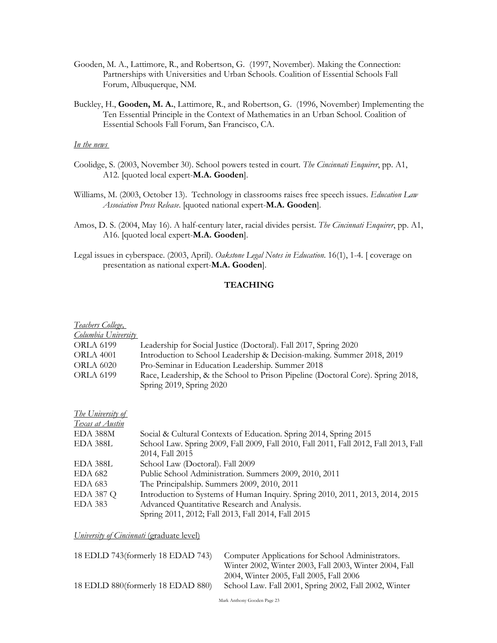- Gooden, M. A., Lattimore, R., and Robertson, G. (1997, November). Making the Connection: Partnerships with Universities and Urban Schools. Coalition of Essential Schools Fall Forum, Albuquerque, NM.
- Buckley, H., **Gooden, M. A.**, Lattimore, R., and Robertson, G. (1996, November) Implementing the Ten Essential Principle in the Context of Mathematics in an Urban School. Coalition of Essential Schools Fall Forum, San Francisco, CA.

# *In the news*

- Coolidge, S. (2003, November 30). School powers tested in court. *The Cincinnati Enquirer*, pp. A1, A12. [quoted local expert-**M.A. Gooden**].
- Williams, M. (2003, October 13). Technology in classrooms raises free speech issues. *Education Law Association Press Release*. [quoted national expert-**M.A. Gooden**].
- Amos, D. S. (2004, May 16). A half-century later, racial divides persist. *The Cincinnati Enquirer*, pp. A1, A16. [quoted local expert-**M.A. Gooden**].
- Legal issues in cyberspace. (2003, April). *Oakstone Legal Notes in Education*. 16(1), 1-4. [ coverage on presentation as national expert-**M.A. Gooden**].

# **TEACHING**

| <u>Teachers College,</u> |                                                                                 |
|--------------------------|---------------------------------------------------------------------------------|
| Columbia University      |                                                                                 |
| ORLA 6199                | Leadership for Social Justice (Doctoral). Fall 2017, Spring 2020                |
| <b>ORLA 4001</b>         | Introduction to School Leadership & Decision-making. Summer 2018, 2019          |
| <b>ORLA 6020</b>         | Pro-Seminar in Education Leadership. Summer 2018                                |
| ORLA 6199                | Race, Leadership, & the School to Prison Pipeline (Doctoral Core). Spring 2018, |
|                          | Spring 2019, Spring 2020                                                        |

| <i>The University of</i> |                                                                                      |
|--------------------------|--------------------------------------------------------------------------------------|
| Texas at Austin          |                                                                                      |
| EDA 388M                 | Social & Cultural Contexts of Education. Spring 2014, Spring 2015                    |
| EDA 388L                 | School Law. Spring 2009, Fall 2009, Fall 2010, Fall 2011, Fall 2012, Fall 2013, Fall |
|                          | 2014, Fall 2015                                                                      |
| EDA 388L                 | School Law (Doctoral). Fall 2009                                                     |
| EDA 682                  | Public School Administration. Summers 2009, 2010, 2011                               |
| EDA 683                  | The Principalship. Summers 2009, 2010, 2011                                          |
| <b>EDA 387 Q</b>         | Introduction to Systems of Human Inquiry. Spring 2010, 2011, 2013, 2014, 2015        |
| <b>EDA 383</b>           | Advanced Quantitative Research and Analysis.                                         |
|                          | Spring 2011, 2012; Fall 2013, Fall 2014, Fall 2015                                   |

*University of Cincinnati (graduate level)* 

| 18 EDLD 743(formerly 18 EDAD 743) | Computer Applications for School Administrators.       |
|-----------------------------------|--------------------------------------------------------|
|                                   | Winter 2002, Winter 2003, Fall 2003, Winter 2004, Fall |
|                                   | 2004, Winter 2005, Fall 2005, Fall 2006                |
| 18 EDLD 880(formerly 18 EDAD 880) | School Law. Fall 2001, Spring 2002, Fall 2002, Winter  |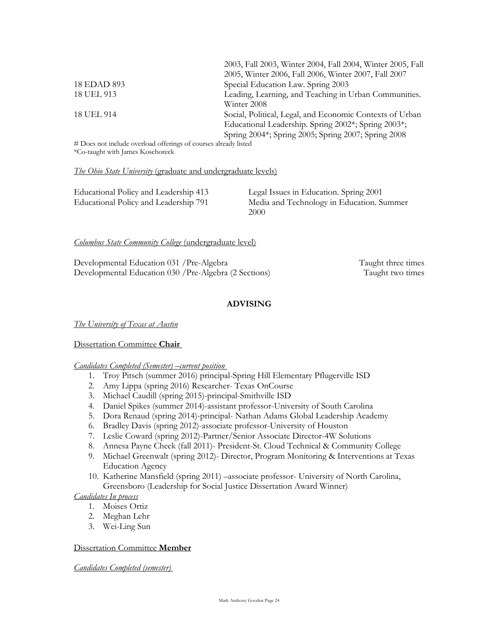|             | 2003, Fall 2003, Winter 2004, Fall 2004, Winter 2005, Fall |
|-------------|------------------------------------------------------------|
|             | 2005, Winter 2006, Fall 2006, Winter 2007, Fall 2007       |
| 18 EDAD 893 | Special Education Law. Spring 2003                         |
| 18 UEL 913  | Leading, Learning, and Teaching in Urban Communities.      |
|             | Winter 2008                                                |
| 18 UEL 914  | Social, Political, Legal, and Economic Contexts of Urban   |
|             | Educational Leadership. Spring 2002*; Spring 2003*;        |
|             | Spring 2004*; Spring 2005; Spring 2007; Spring 2008        |

# Does not include overload offerings of courses already listed \*Co-taught with James Koschoreck

#### *The Ohio State University* (graduate and undergraduate levels)

# *Columbus State Community College* (undergraduate level)

Developmental Education 031 / Pre-Algebra Taught three times Developmental Education 030 /Pre-Algebra (2 Sections) Taught two times

# **ADVISING**

*The University of Texas at Austin*

# Dissertation Committee **Chair**

# *Candidates Completed (Semester) –current position*

- 1. Troy Pitsch (summer 2016) principal-Spring Hill Elementary Pflugerville ISD
- 2. Amy Lippa (spring 2016) Researcher- Texas OnCourse
- 3. Michael Caudill (spring 2015)-principal-Smithville ISD
- 4. Daniel Spikes (summer 2014)-assistant professor-University of South Carolina
- 5. Dora Renaud (spring 2014)-principal- Nathan Adams Global Leadership Academy
- 6. Bradley Davis (spring 2012)-associate professor-University of Houston
- 7. Leslie Coward (spring 2012)-Partner/Senior Associate Director-4W Solutions
- 8. Annesa Payne Cheek (fall 2011)- President-St. Cloud Technical & Community College
- 9. Michael Greenwalt (spring 2012)- Director, Program Monitoring & Interventions at Texas Education Agency
- 10. Katherine Mansfield (spring 2011) –associate professor- University of North Carolina, Greensboro (Leadership for Social Justice Dissertation Award Winner)

*Candidates In process*

- 1. Moises Ortiz
- 2. Meghan Lehr
- 3. Wei-Ling Sun

# Dissertation Committee **Member**

*Candidates Completed (semester)*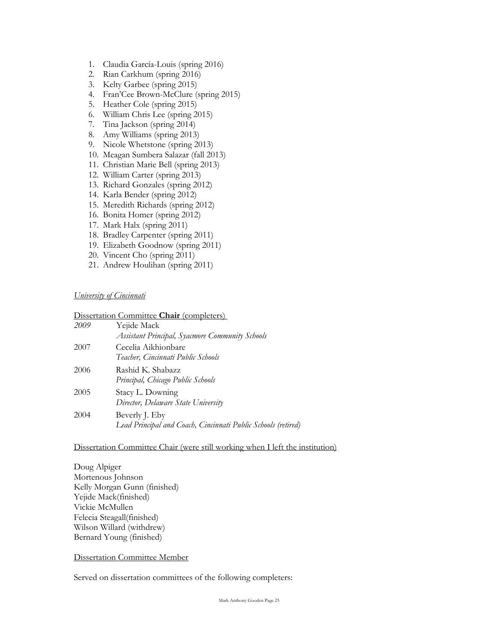- 1. Claudia García-Louis (spring 2016)
- 2. Rian Carkhum (spring 2016)
- 3. Kelty Garbee (spring 2015)
- 4. Fran'Cee Brown-McClure (spring 2015)
- 5. Heather Cole (spring 2015)
- 6. William Chris Lee (spring 2015)
- 7. Tina Jackson (spring 2014)
- 8. Amy Williams (spring 2013)
- 9. Nicole Whetstone (spring 2013)
- 10. Meagan Sumbera Salazar (fall 2013)
- 11. Christian Marie Bell (spring 2013)
- 12. William Carter (spring 2013)
- 13. Richard Gonzales (spring 2012)
- 14. Karla Bender (spring 2012)
- 15. Meredith Richards (spring 2012)
- 16. Bonita Homer (spring 2012)
- 17. Mark Halx (spring 2011)
- 18. Bradley Carpenter (spring 2011)
- 19. Elizabeth Goodnow (spring 2011)
- 20. Vincent Cho (spring 2011)
- 21. Andrew Houlihan (spring 2011)

# *University of Cincinnati*

#### Dissertation Committee **Chair** (completers)

| 2009 | Yejide Mack<br><b>Assistant Principal, Syacmore Community Schools</b>           |
|------|---------------------------------------------------------------------------------|
| 2007 | Cecelia Aikhionbare<br>Teacher, Cincinnati Public Schools                       |
| 2006 | Rashid K. Shabazz<br>Principal, Chicago Public Schools                          |
| 2005 | Stacy L. Downing<br>Director, Delaware State University                         |
| 2004 | Beverly J. Eby<br>Lead Principal and Coach, Cincinnati Public Schools (retired) |

# Dissertation Committee Chair (were still working when I left the institution)

Doug Alpiger Mortenous Johnson Kelly Morgan Gunn (finished) Yejide Mack(finished) Vickie McMullen Felecia Steagall(finished) Wilson Willard (withdrew) Bernard Young (finished)

# Dissertation Committee Member

Served on dissertation committees of the following completers: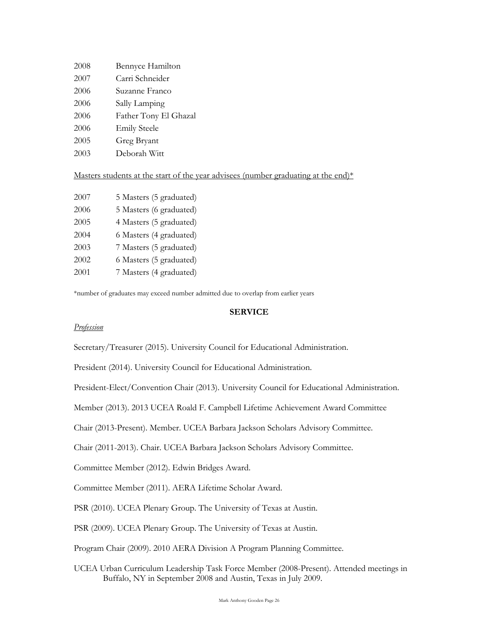| 2008 | Bennyce Hamilton      |
|------|-----------------------|
| 2007 | Carri Schneider       |
| 2006 | Suzanne Franco        |
| 2006 | Sally Lamping         |
| 2006 | Father Tony El Ghazal |
| 2006 | <b>Emily Steele</b>   |
| 2005 | Greg Bryant           |
| 2003 | Deborah Witt          |

# Masters students at the start of the year advisees (number graduating at the end) $*$

| 2007 | 5 Masters (5 graduated) |
|------|-------------------------|
| 2006 | 5 Masters (6 graduated) |
| 2005 | 4 Masters (5 graduated) |
| 2004 | 6 Masters (4 graduated) |
| 2003 | 7 Masters (5 graduated) |
| 2002 | 6 Masters (5 graduated) |
| 2001 | 7 Masters (4 graduated) |
|      |                         |

\*number of graduates may exceed number admitted due to overlap from earlier years

# **SERVICE**

#### *Profession*

Secretary/Treasurer (2015). University Council for Educational Administration.

President (2014). University Council for Educational Administration.

President-Elect/Convention Chair (2013). University Council for Educational Administration.

Member (2013). 2013 UCEA Roald F. Campbell Lifetime Achievement Award Committee

Chair (2013-Present). Member. UCEA Barbara Jackson Scholars Advisory Committee.

Chair (2011-2013). Chair. UCEA Barbara Jackson Scholars Advisory Committee.

Committee Member (2012). Edwin Bridges Award.

Committee Member (2011). AERA Lifetime Scholar Award.

PSR (2010). UCEA Plenary Group. The University of Texas at Austin.

PSR (2009). UCEA Plenary Group. The University of Texas at Austin.

Program Chair (2009). 2010 AERA Division A Program Planning Committee.

UCEA Urban Curriculum Leadership Task Force Member (2008-Present). Attended meetings in Buffalo, NY in September 2008 and Austin, Texas in July 2009.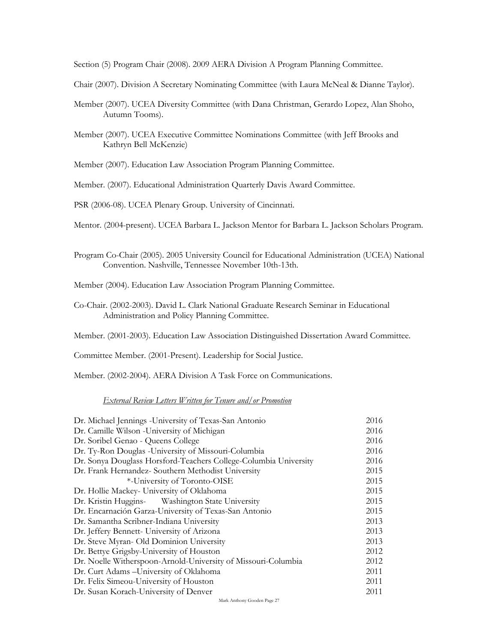Section (5) Program Chair (2008). 2009 AERA Division A Program Planning Committee.

Chair (2007). Division A Secretary Nominating Committee (with Laura McNeal & Dianne Taylor).

- Member (2007). UCEA Diversity Committee (with Dana Christman, Gerardo Lopez, Alan Shoho, Autumn Tooms).
- Member (2007). UCEA Executive Committee Nominations Committee (with Jeff Brooks and Kathryn Bell McKenzie)

Member (2007). Education Law Association Program Planning Committee.

Member. (2007). Educational Administration Quarterly Davis Award Committee.

PSR (2006-08). UCEA Plenary Group. University of Cincinnati.

Mentor. (2004-present). UCEA Barbara L. Jackson Mentor for Barbara L. Jackson Scholars Program.

Program Co-Chair (2005). 2005 University Council for Educational Administration (UCEA) National Convention. Nashville, Tennessee November 10th-13th.

Member (2004). Education Law Association Program Planning Committee.

- Co-Chair. (2002-2003). David L. Clark National Graduate Research Seminar in Educational Administration and Policy Planning Committee.
- Member. (2001-2003). Education Law Association Distinguished Dissertation Award Committee.

Committee Member. (2001-Present). Leadership for Social Justice.

Member. (2002-2004). AERA Division A Task Force on Communications.

#### *External Review Letters Written for Tenure and/or Promotion*

| Dr. Michael Jennings - University of Texas-San Antonio           | 2016 |
|------------------------------------------------------------------|------|
| Dr. Camille Wilson - University of Michigan                      | 2016 |
| Dr. Soribel Genao - Queens College                               | 2016 |
| Dr. Ty-Ron Douglas -University of Missouri-Columbia              | 2016 |
| Dr. Sonya Douglass Horsford-Teachers College-Columbia University | 2016 |
| Dr. Frank Hernandez- Southern Methodist University               | 2015 |
| *-University of Toronto-OISE                                     | 2015 |
| Dr. Hollie Mackey- University of Oklahoma                        | 2015 |
| Dr. Kristin Huggins-<br>Washington State University              | 2015 |
| Dr. Encarnación Garza-University of Texas-San Antonio            | 2015 |
| Dr. Samantha Scribner-Indiana University                         | 2013 |
| Dr. Jeffery Bennett- University of Arizona                       | 2013 |
| Dr. Steve Myran- Old Dominion University                         | 2013 |
| Dr. Bettye Grigsby-University of Houston                         | 2012 |
| Dr. Noelle Witherspoon-Arnold-University of Missouri-Columbia    | 2012 |
| Dr. Curt Adams - University of Oklahoma                          | 2011 |
| Dr. Felix Simeou-University of Houston                           | 2011 |
| Dr. Susan Korach-University of Denver                            | 2011 |
|                                                                  |      |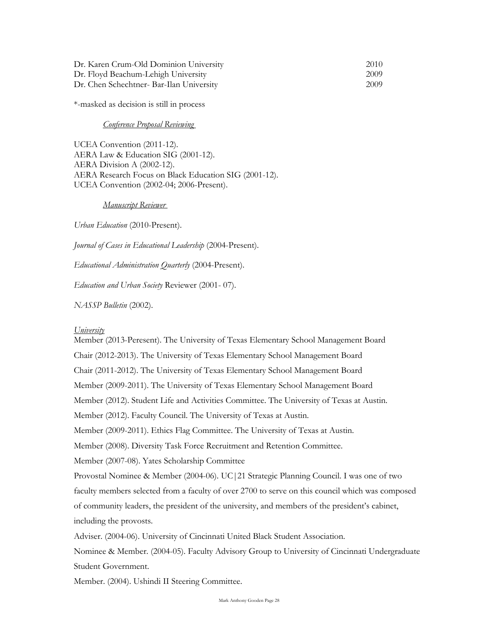| Dr. Karen Crum-Old Dominion University   | 2010 |
|------------------------------------------|------|
| Dr. Floyd Beachum-Lehigh University      | 2009 |
| Dr. Chen Schechtner- Bar-Ilan University | 2009 |

\*-masked as decision is still in process

*Conference Proposal Reviewing* 

UCEA Convention (2011-12). AERA Law & Education SIG (2001-12). AERA Division A (2002-12). AERA Research Focus on Black Education SIG (2001-12). UCEA Convention (2002-04; 2006-Present).

#### *Manuscript Reviewer*

*Urban Education* (2010-Present).

*Journal of Cases in Educational Leadership* (2004-Present).

*Educational Administration Quarterly* (2004-Present).

*Education and Urban Society* Reviewer (2001- 07).

*NASSP Bulletin* (2002).

#### *University*

Member (2013-Peresent). The University of Texas Elementary School Management Board Chair (2012-2013). The University of Texas Elementary School Management Board Chair (2011-2012). The University of Texas Elementary School Management Board Member (2009-2011). The University of Texas Elementary School Management Board Member (2012). Student Life and Activities Committee. The University of Texas at Austin. Member (2012). Faculty Council. The University of Texas at Austin. Member (2009-2011). Ethics Flag Committee. The University of Texas at Austin. Member (2008). Diversity Task Force Recruitment and Retention Committee. Member (2007-08). Yates Scholarship Committee Provostal Nominee & Member (2004-06). UC|21 Strategic Planning Council. I was one of two faculty members selected from a faculty of over 2700 to serve on this council which was composed of community leaders, the president of the university, and members of the president's cabinet, including the provosts. Adviser. (2004-06). University of Cincinnati United Black Student Association. Nominee & Member. (2004-05). Faculty Advisory Group to University of Cincinnati Undergraduate Student Government.

Member. (2004). Ushindi II Steering Committee.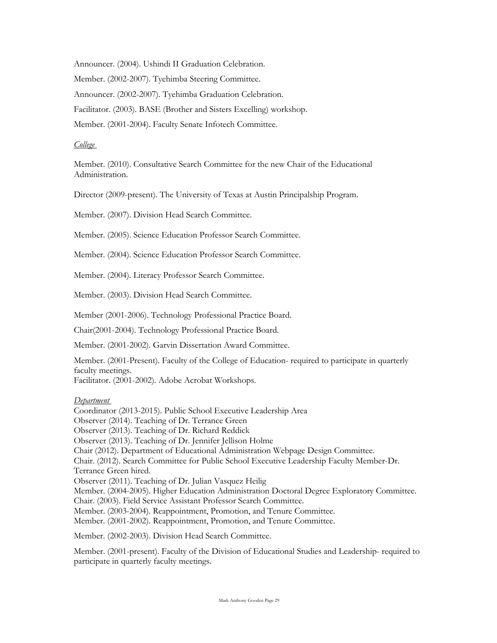Announcer. (2004). Ushindi II Graduation Celebration.

Member. (2002-2007). Tyehimba Steering Committee.

Announcer. (2002-2007). Tyehimba Graduation Celebration.

Facilitator. (2003). BASE (Brother and Sisters Excelling) workshop.

Member. (2001-2004). Faculty Senate Infotech Committee.

#### *College*

Member. (2010). Consultative Search Committee for the new Chair of the Educational Administration.

Director (2009-present). The University of Texas at Austin Principalship Program.

Member. (2007). Division Head Search Committee.

Member. (2005). Science Education Professor Search Committee.

Member. (2004). Science Education Professor Search Committee.

Member. (2004). Literacy Professor Search Committee.

Member. (2003). Division Head Search Committee.

Member (2001-2006). Technology Professional Practice Board.

Chair(2001-2004). Technology Professional Practice Board.

Member. (2001-2002). Garvin Dissertation Award Committee.

Member. (2001-Present). Faculty of the College of Education- required to participate in quarterly faculty meetings.

Facilitator. (2001-2002). Adobe Acrobat Workshops.

#### *Department*

Coordinator (2013-2015). Public School Executive Leadership Area Observer (2014). Teaching of Dr. Terrance Green Observer (2013). Teaching of Dr. Richard Reddick Observer (2013). Teaching of Dr. Jennifer Jellison Holme Chair (2012). Department of Educational Administration Webpage Design Committee. Chair. (2012). Search Committee for Public School Executive Leadership Faculty Member-Dr. Terrance Green hired. Observer (2011). Teaching of Dr. Julian Vasquez Heilig Member. (2004-2005). Higher Education Administration Doctoral Degree Exploratory Committee. Chair. (2003). Field Service Assistant Professor Search Committee. Member. (2003-2004). Reappointment, Promotion, and Tenure Committee. Member. (2001-2002). Reappointment, Promotion, and Tenure Committee. Member. (2002-2003). Division Head Search Committee.

Member. (2001-present). Faculty of the Division of Educational Studies and Leadership- required to participate in quarterly faculty meetings.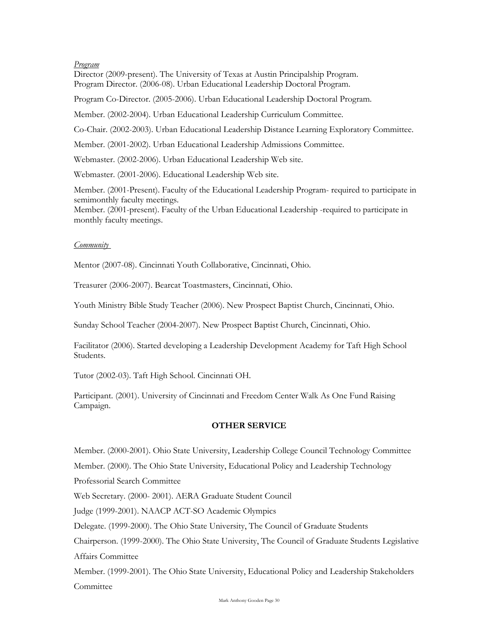# *Program*

Director (2009-present). The University of Texas at Austin Principalship Program. Program Director. (2006-08). Urban Educational Leadership Doctoral Program.

Program Co-Director. (2005-2006). Urban Educational Leadership Doctoral Program.

Member. (2002-2004). Urban Educational Leadership Curriculum Committee.

Co-Chair. (2002-2003). Urban Educational Leadership Distance Learning Exploratory Committee.

Member. (2001-2002). Urban Educational Leadership Admissions Committee.

Webmaster. (2002-2006). Urban Educational Leadership Web site.

Webmaster. (2001-2006). Educational Leadership Web site.

Member. (2001-Present). Faculty of the Educational Leadership Program- required to participate in semimonthly faculty meetings.

Member. (2001-present). Faculty of the Urban Educational Leadership -required to participate in monthly faculty meetings.

#### *Community*

Mentor (2007-08). Cincinnati Youth Collaborative, Cincinnati, Ohio.

Treasurer (2006-2007). Bearcat Toastmasters, Cincinnati, Ohio.

Youth Ministry Bible Study Teacher (2006). New Prospect Baptist Church, Cincinnati, Ohio.

Sunday School Teacher (2004-2007). New Prospect Baptist Church, Cincinnati, Ohio.

Facilitator (2006). Started developing a Leadership Development Academy for Taft High School Students.

Tutor (2002-03). Taft High School. Cincinnati OH.

Participant. (2001). University of Cincinnati and Freedom Center Walk As One Fund Raising Campaign.

#### **OTHER SERVICE**

Member. (2000-2001). Ohio State University, Leadership College Council Technology Committee

Member. (2000). The Ohio State University, Educational Policy and Leadership Technology

Professorial Search Committee

Web Secretary. (2000- 2001). AERA Graduate Student Council

Judge (1999-2001). NAACP ACT-SO Academic Olympics

Delegate. (1999-2000). The Ohio State University, The Council of Graduate Students

Chairperson. (1999-2000). The Ohio State University, The Council of Graduate Students Legislative Affairs Committee

Member. (1999-2001). The Ohio State University, Educational Policy and Leadership Stakeholders Committee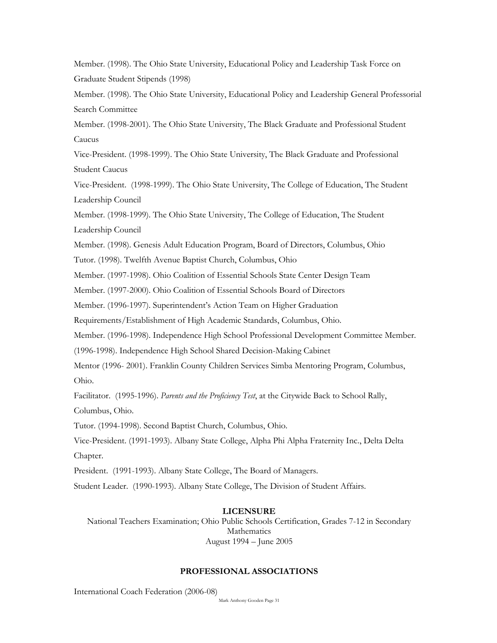Member. (1998). The Ohio State University, Educational Policy and Leadership Task Force on Graduate Student Stipends (1998)

Member. (1998). The Ohio State University, Educational Policy and Leadership General Professorial Search Committee

Member. (1998-2001). The Ohio State University, The Black Graduate and Professional Student Caucus

Vice-President. (1998-1999). The Ohio State University, The Black Graduate and Professional Student Caucus

Vice-President. (1998-1999). The Ohio State University, The College of Education, The Student Leadership Council

Member. (1998-1999). The Ohio State University, The College of Education, The Student

Leadership Council

Member. (1998). Genesis Adult Education Program, Board of Directors, Columbus, Ohio

Tutor. (1998). Twelfth Avenue Baptist Church, Columbus, Ohio

Member. (1997-1998). Ohio Coalition of Essential Schools State Center Design Team

Member. (1997-2000). Ohio Coalition of Essential Schools Board of Directors

Member. (1996-1997). Superintendent's Action Team on Higher Graduation

Requirements/Establishment of High Academic Standards, Columbus, Ohio.

Member. (1996-1998). Independence High School Professional Development Committee Member.

(1996-1998). Independence High School Shared Decision-Making Cabinet

Mentor (1996- 2001). Franklin County Children Services Simba Mentoring Program, Columbus, Ohio.

Facilitator. (1995-1996). *Parents and the Proficiency Test*, at the Citywide Back to School Rally,

Columbus, Ohio.

Tutor. (1994-1998). Second Baptist Church, Columbus, Ohio.

Vice-President. (1991-1993). Albany State College, Alpha Phi Alpha Fraternity Inc., Delta Delta Chapter.

President. (1991-1993). Albany State College, The Board of Managers.

Student Leader. (1990-1993). Albany State College, The Division of Student Affairs.

# **LICENSURE**

National Teachers Examination; Ohio Public Schools Certification, Grades 7-12 in Secondary Mathematics August 1994 – June 2005

# **PROFESSIONAL ASSOCIATIONS**

International Coach Federation (2006-08)